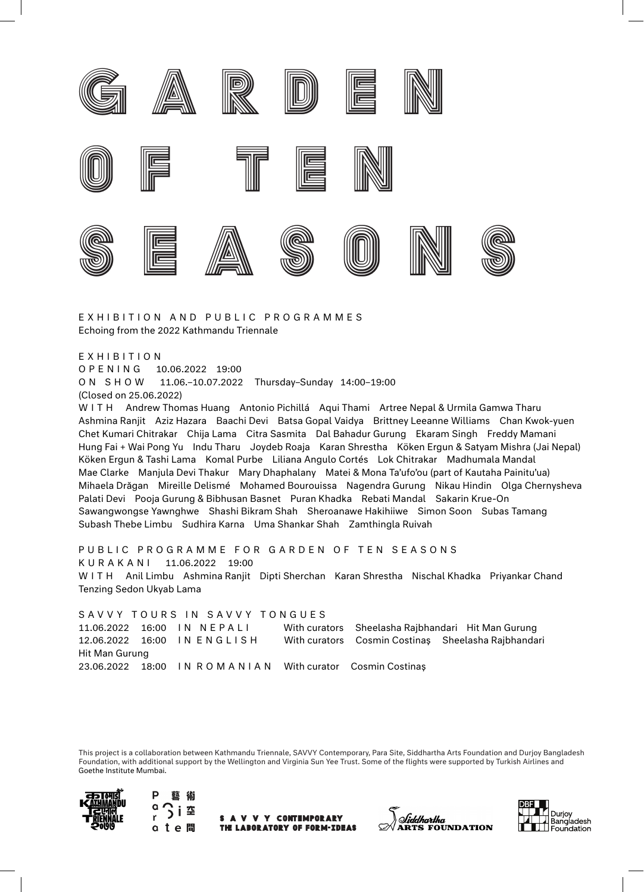

EXHIBITION AND PUBLIC PROGRAMMES Echoing from the 2022 Kathmandu Triennale

EXHIBITION

OPENING 10.06.2022 19:00 ON SHOW 11.06.–10.07.2022 Thursday–Sunday 14:00–19:00 (Closed on 25.06.2022)

WITH Andrew Thomas Huang Antonio Pichillá Aqui Thami Artree Nepal & Urmila Gamwa Tharu Ashmina Ranjit Aziz Hazara Baachi Devi Batsa Gopal Vaidya Brittney Leeanne Williams Chan Kwok-yuen Chet Kumari Chitrakar Chija Lama Citra Sasmita Dal Bahadur Gurung Ekaram Singh Freddy Mamani Hung Fai + Wai Pong Yu Indu Tharu Joydeb Roaja Karan Shrestha Köken Ergun & Satyam Mishra (Jai Nepal) Köken Ergun & Tashi Lama Komal Purbe Liliana Angulo Cortés Lok Chitrakar Madhumala Mandal Mae Clarke Manjula Devi Thakur Mary Dhaphalany Matei & Mona Ta'ufo'ou (part of Kautaha Painitu'ua) Mihaela Drăgan Mireille Delismé Mohamed Bourouissa Nagendra Gurung Nikau Hindin Olga Chernysheva Palati Devi Pooja Gurung & Bibhusan Basnet Puran Khadka Rebati Mandal Sakarin Krue-On Sawangwongse Yawnghwe Shashi Bikram Shah Sheroanawe Hakihiiwe Simon Soon Subas Tamang Subash Thebe Limbu Sudhira Karna Uma Shankar Shah Zamthingla Ruivah

PUBLIC PROGRAMME FOR GARDEN OF TEN SEASONS KURAKANI 11.06.2022 19:00 WITH Anil Limbu Ashmina Ranjit Dipti Sherchan Karan Shrestha Nischal Khadka Priyankar Chand Tenzing Sedon Ukyab Lama

SAVVY TOURS IN SAVVY TONGUES 11.06.2022 16:00 IN NEPALI With curators Sheelasha Rajbhandari Hit Man Gurung 12.06.2022 16:00 I N ENGLISH With curators Cosmin Costinaș Sheelasha Rajbhandari Hit Man Gurung 23.06.2022 18:00 I N ROMANIAN With curator Cosmin Costinaș

Foundation, with additional support by the Wellington and Virginia Sun Yee Trust. Some of the flights were supported by Turkish Airlines and Goethe Institute Mumbai. This project is a collaboration between Kathmandu Triennale, SAVVY Contemporary, Para Site, Siddhartha Arts Foundation and Durjoy Bangladesh







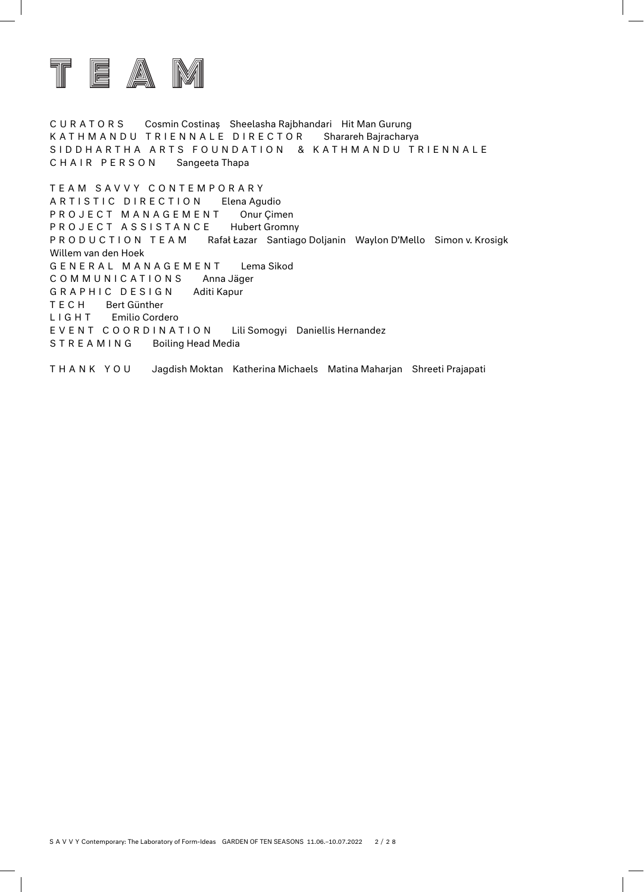

CURATORS Cosmin Costinaș Sheelasha Rajbhandari Hit Man Gurung KATHMANDU TRIENNALE DIRECTOR Sharareh Bajracharya SID D H A R T H A R T S FOUND A T I ON & K A T H M A N D U T R I E N N A L E CHAIR PERSON Sangeeta Thapa

TEAM SAVVY CONTEMPORARY ARTISTIC DIRECTION Elena Agudio PROJECT MANAGEMENT Onur Çimen PROJECT ASSISTANCE Hubert Gromny PRODUCTION TEAM Rafał Łazar Santiago Doljanin Waylon D'Mello Simon v. Krosigk Willem van den Hoek GENERAL MANAGEMENT Lema Sikod COMMUNICATIONS Anna Jäger GRAPHIC DESIGN Aditi Kapur TECH Bert Günther LIGHT Emilio Cordero EVENT COORDINATION Lili Somogyi Daniellis Hernandez STREAMING Boiling Head Media

THANK YOU Jagdish Moktan Katherina Michaels Matina Maharjan Shreeti Prajapati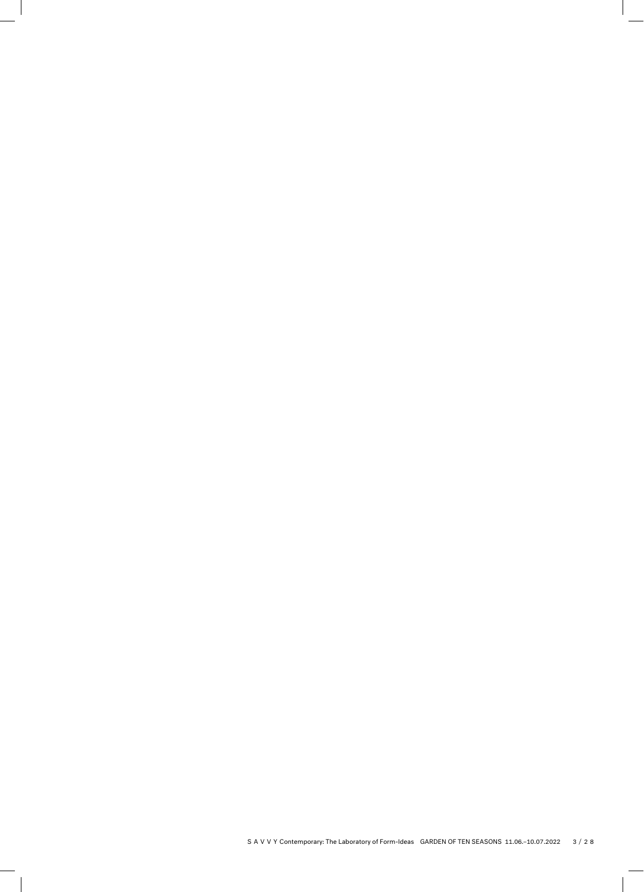$\overline{\phantom{a}}$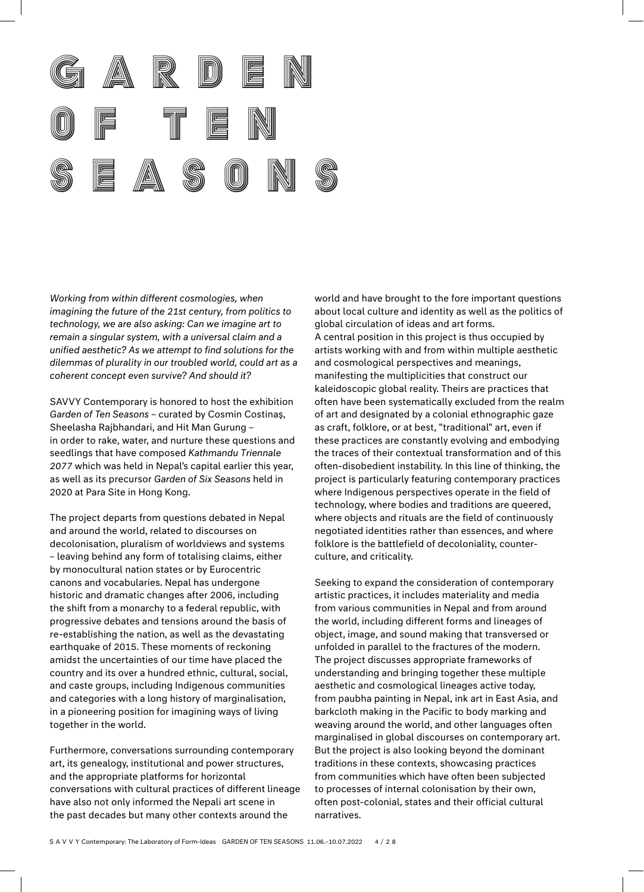

*Working from within different cosmologies, when imagining the future of the 21st century, from politics to technology, we are also asking: Can we imagine art to remain a singular system, with a universal claim and a unified aesthetic? As we attempt to find solutions for the dilemmas of plurality in our troubled world, could art as a coherent concept even survive? And should it?*

SAVVY Contemporary is honored to host the exhibition *Garden of Ten Seasons* – curated by Cosmin Costinaș, Sheelasha Rajbhandari, and Hit Man Gurung – in order to rake, water, and nurture these questions and seedlings that have composed *Kathmandu Triennale 2077* which was held in Nepal's capital earlier this year, as well as its precursor *Garden of Six Seasons* held in 2020 at Para Site in Hong Kong.

The project departs from questions debated in Nepal and around the world, related to discourses on decolonisation, pluralism of worldviews and systems – leaving behind any form of totalising claims, either by monocultural nation states or by Eurocentric canons and vocabularies. Nepal has undergone historic and dramatic changes after 2006, including the shift from a monarchy to a federal republic, with progressive debates and tensions around the basis of re-establishing the nation, as well as the devastating earthquake of 2015. These moments of reckoning amidst the uncertainties of our time have placed the country and its over a hundred ethnic, cultural, social, and caste groups, including Indigenous communities and categories with a long history of marginalisation, in a pioneering position for imagining ways of living together in the world.

Furthermore, conversations surrounding contemporary art, its genealogy, institutional and power structures, and the appropriate platforms for horizontal conversations with cultural practices of different lineage have also not only informed the Nepali art scene in the past decades but many other contexts around the

world and have brought to the fore important questions about local culture and identity as well as the politics of global circulation of ideas and art forms. A central position in this project is thus occupied by artists working with and from within multiple aesthetic and cosmological perspectives and meanings, manifesting the multiplicities that construct our kaleidoscopic global reality. Theirs are practices that often have been systematically excluded from the realm of art and designated by a colonial ethnographic gaze as craft, folklore, or at best, "traditional" art, even if these practices are constantly evolving and embodying the traces of their contextual transformation and of this often-disobedient instability. In this line of thinking, the project is particularly featuring contemporary practices where Indigenous perspectives operate in the field of technology, where bodies and traditions are queered, where objects and rituals are the field of continuously negotiated identities rather than essences, and where folklore is the battlefield of decoloniality, counterculture, and criticality.

Seeking to expand the consideration of contemporary artistic practices, it includes materiality and media from various communities in Nepal and from around the world, including different forms and lineages of object, image, and sound making that transversed or unfolded in parallel to the fractures of the modern. The project discusses appropriate frameworks of understanding and bringing together these multiple aesthetic and cosmological lineages active today, from paubha painting in Nepal, ink art in East Asia, and barkcloth making in the Pacific to body marking and weaving around the world, and other languages often marginalised in global discourses on contemporary art. But the project is also looking beyond the dominant traditions in these contexts, showcasing practices from communities which have often been subjected to processes of internal colonisation by their own, often post-colonial, states and their official cultural narratives.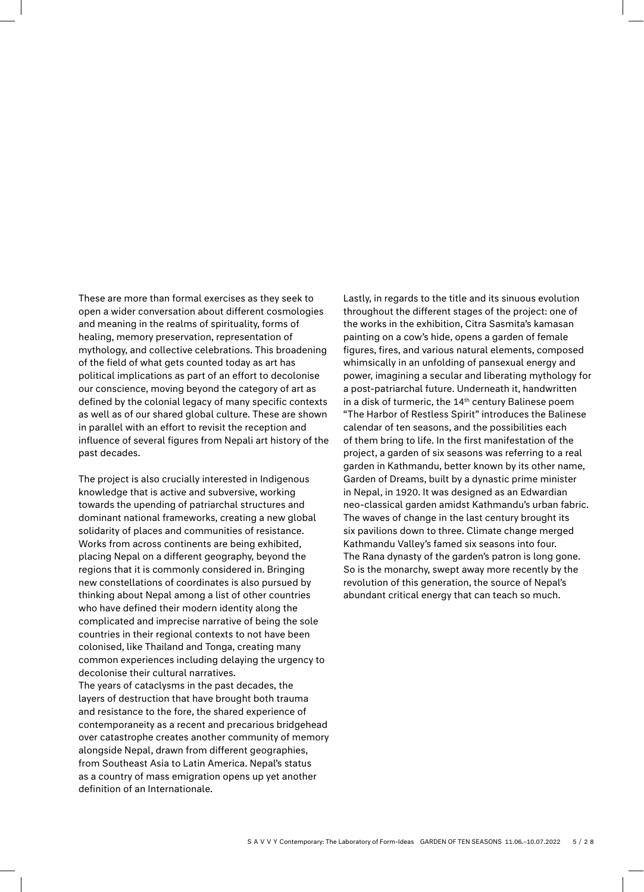These are more than formal exercises as they seek to open a wider conversation about different cosmologies and meaning in the realms of spirituality, forms of healing, memory preservation, representation of mythology, and collective celebrations. This broadening of the field of what gets counted today as art has political implications as part of an effort to decolonise our conscience, moving beyond the category of art as defined by the colonial legacy of many specific contexts as well as of our shared global culture. These are shown in parallel with an effort to revisit the reception and influence of several figures from Nepali art history of the past decades.

The project is also crucially interested in Indigenous knowledge that is active and subversive, working towards the upending of patriarchal structures and dominant national frameworks, creating a new global solidarity of places and communities of resistance. Works from across continents are being exhibited, placing Nepal on a different geography, beyond the regions that it is commonly considered in. Bringing new constellations of coordinates is also pursued by thinking about Nepal among a list of other countries who have defined their modern identity along the complicated and imprecise narrative of being the sole countries in their regional contexts to not have been colonised, like Thailand and Tonga, creating many common experiences including delaying the urgency to decolonise their cultural narratives. The years of cataclysms in the past decades, the

layers of destruction that have brought both trauma and resistance to the fore, the shared experience of contemporaneity as a recent and precarious bridgehead over catastrophe creates another community of memory alongside Nepal, drawn from different geographies, from Southeast Asia to Latin America. Nepal's status as a country of mass emigration opens up yet another definition of an Internationale.

Lastly, in regards to the title and its sinuous evolution throughout the different stages of the project: one of the works in the exhibition, Citra Sasmita's kamasan painting on a cow's hide, opens a garden of female figures, fires, and various natural elements, composed whimsically in an unfolding of pansexual energy and power, imagining a secular and liberating mythology for a post-patriarchal future. Underneath it, handwritten in a disk of turmeric, the  $14<sup>th</sup>$  century Balinese poem "The Harbor of Restless Spirit" introduces the Balinese calendar of ten seasons, and the possibilities each of them bring to life. In the first manifestation of the project, a garden of six seasons was referring to a real garden in Kathmandu, better known by its other name, Garden of Dreams, built by a dynastic prime minister in Nepal, in 1920. It was designed as an Edwardian neo-classical garden amidst Kathmandu's urban fabric. The waves of change in the last century brought its six pavilions down to three. Climate change merged Kathmandu Valley's famed six seasons into four. The Rana dynasty of the garden's patron is long gone. So is the monarchy, swept away more recently by the revolution of this generation, the source of Nepal's abundant critical energy that can teach so much.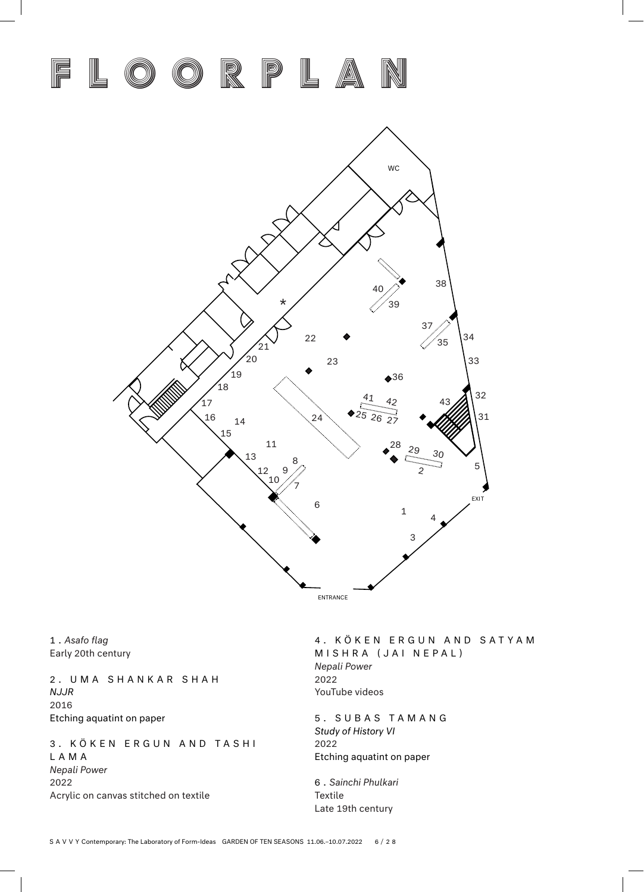# FLOORPLAN



1 . *Asafo flag* Early 20th century

2. UMA SHANKAR SHAH *NJJR* Etching aquatint on paper

3. KÖKEN ERGUN AND TASHI LAMA *Nepali Power*  Acrylic on canvas stitched on textile

4 . K Ö K E N E R G U N A N D S A T Y A M MISHRA (JAI NEPAL) *Nepali Power*  YouTube videos

5 . S U B A S T A M A N G *Study of History VI* Etching aquatint on paper

6 . *Sainchi Phulkari* Textile Late 19th century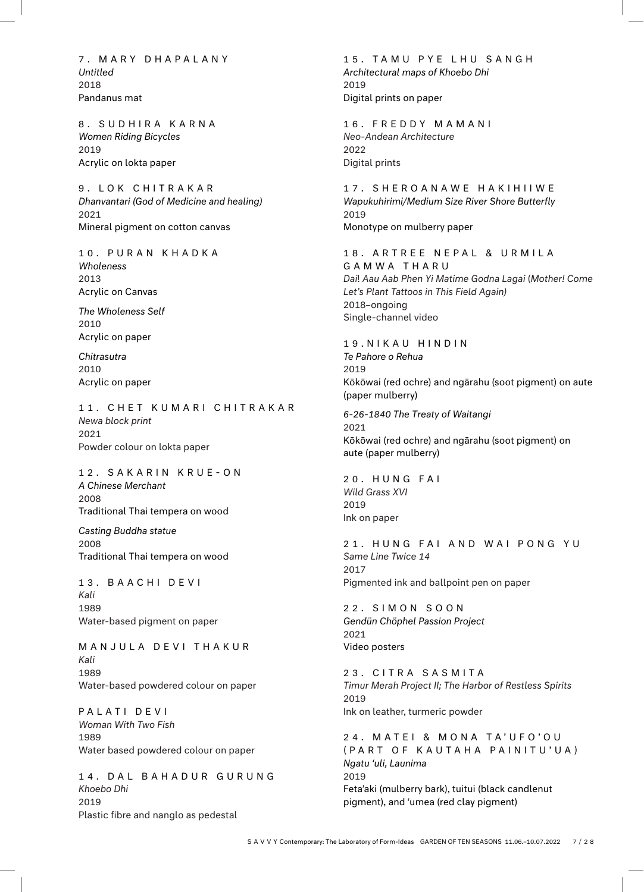7. MARY DHAPALANY *Untitled* 2018 Pandanus mat

8. SUDHIRA KARNA *Women Riding Bicycles* 2019 Acrylic on lokta paper

9. LOK CHITRAKAR *Dhanvantari (God of Medicine and healing)* 2021 Mineral pigment on cotton canvas

10. PURAN KHADKA *Wholeness* 2013 Acrylic on Canvas

*The Wholeness Self* 2010 Acrylic on paper

*Chitrasutra* 2010 Acrylic on paper

11. CHET KUMARI CHITRAKAR *Newa block print* 2021 Powder colour on lokta paper

12. SAKARIN KRUE-ON *A Chinese Merchant* 2008 Traditional Thai tempera on wood

*Casting Buddha statue* 2008 Traditional Thai tempera on wood

13. BAACHI DEVI *Kali* 1989 Water-based pigment on paper

MANJULA DEVI THAKUR *Kali* 1989 Water-based powdered colour on paper

P ALATI DEVI *Woman With Two Fish*  1989 Water based powdered colour on paper

14. DAL BAHADUR GURUNG *Khoebo Dhi* 2019 Plastic fibre and nanglo as pedestal

15. TAMU PYE LHU SANGH *Architectural maps of Khoebo Dhi* 2019 Digital prints on paper

16. FREDDY MAMANI *Neo-Andean Architecture* 2022 Digital prints

17. SHEROANAWE HAKIHIIWE *Wapukuhirimi/Medium Size River Shore Butterfly* 2019 Monotype on mulberry paper

18. ARTREE NEPAL & URMILA GAMWA THARU *Dai*! *Aau Aab Phen Yi Matime Godna Lagai* (*Mother! Come Let's Plant Tattoos in This Field Again)* 2018–ongoing Single-channel video

19.NIKAU HINDIN *Te Pahore o Rehua* 2019 Kōkōwai (red ochre) and ngārahu (soot pigment) on aute (paper mulberry)

*6-26-1840 The Treaty of Waitangi* 2021 Kōkōwai (red ochre) and ngārahu (soot pigment) on aute (paper mulberry)

20. HUNG FAI *Wild Grass XVI* 2019 Ink on paper

21. HUNG FAI AND WAI PONG YU *Same Line Twice 14* 2017 Pigmented ink and ballpoint pen on paper

22. SIMON SOON *Gendün Chöphel Passion Project* 2021 Video posters

23. CITRA SASMITA *Timur Merah Project II; The Harbor of Restless Spirits* 2019 Ink on leather, turmeric powder

24. MATEI & MONA TA'UFO'OU (PART OF KAUTAHA PAINITU'UA) *Ngatu 'uli, Launima* 2019 Feta'aki (mulberry bark), tuitui (black candlenut pigment), and 'umea (red clay pigment)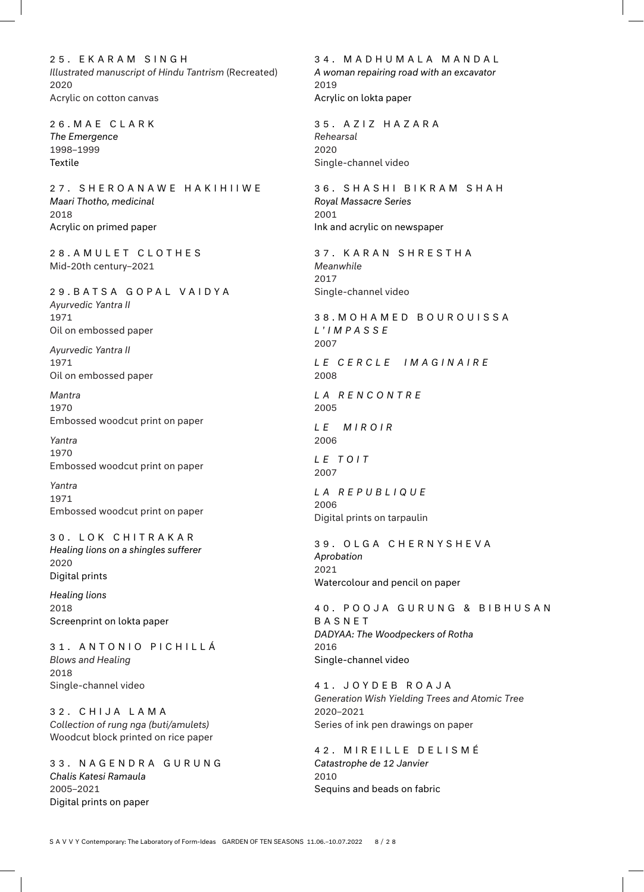25. EKARAM SINGH *Illustrated manuscript of Hindu Tantrism* (Recreated) 2020 Acrylic on cotton canvas

26.MAE CLARK *The Emergence* 1998–1999 Textile

27. SHEROANAWE HAKIHIIWE *Maari Thotho, medicinal* 2018 Acrylic on primed paper

28.AMULET CLOTHES Mid-20th century–2021

29.BATSA GOPAL VAIDYA *Ayurvedic Yantra II* 1971 Oil on embossed paper

*Ayurvedic Yantra II* 1971 Oil on embossed paper

*Mantra* 1970 Embossed woodcut print on paper

*Yantra* 1970 Embossed woodcut print on paper

*Yantra* 1971 Embossed woodcut print on paper

30. LOK CHITRAKAR *Healing lions on a shingles sufferer* 2020 Digital prints

*Healing lions* 2018 Screenprint on lokta paper

31. ANTONIO PICHILLÁ *Blows and Healing* 2018 Single-channel video

32. CHIJA LAMA *Collection of rung nga (buti/amulets)* Woodcut block printed on rice paper

3 3 . N A G E N D R A G U R U N G *Chalis Katesi Ramaula* 2005–2021 Digital prints on paper

34. MADHUMALA MANDAL *A woman repairing road with an excavator* 2019 Acrylic on lokta paper

35. AZIZ HAZARA *Rehearsal* 2020 Single-channel video

36. SHASHI BIKRAM SHAH *Royal Massacre Series* 2001 Ink and acrylic on newspaper

37. KARAN SHRESTHA *Meanwhile* 2017 Single-channel video

38.MOHAMED BOUROUISSA *L'IMPASSE* 2007 *L E CERCLE IMAGINAIRE* 2008

*L A R E N C O N T R E*  2005

*LE MIROIR* 2006

*L E TOIT* 2007

*L A REPUBLIQUE* 2006 Digital prints on tarpaulin

39. OLGA CHERNYSHEVA *Aprobation* 2021 Watercolour and pencil on paper

40. POOJA GURUNG & BIBHUSAN BASNET *DADYAA: The Woodpeckers of Rotha* 2016 Single-channel video

41. JOYDEB ROAJA *Generation Wish Yielding Trees and Atomic Tree* 2020–2021 Series of ink pen drawings on paper

42. MIREILLE DELISMÉ *Catastrophe de 12 Janvier* 2010 Sequins and beads on fabric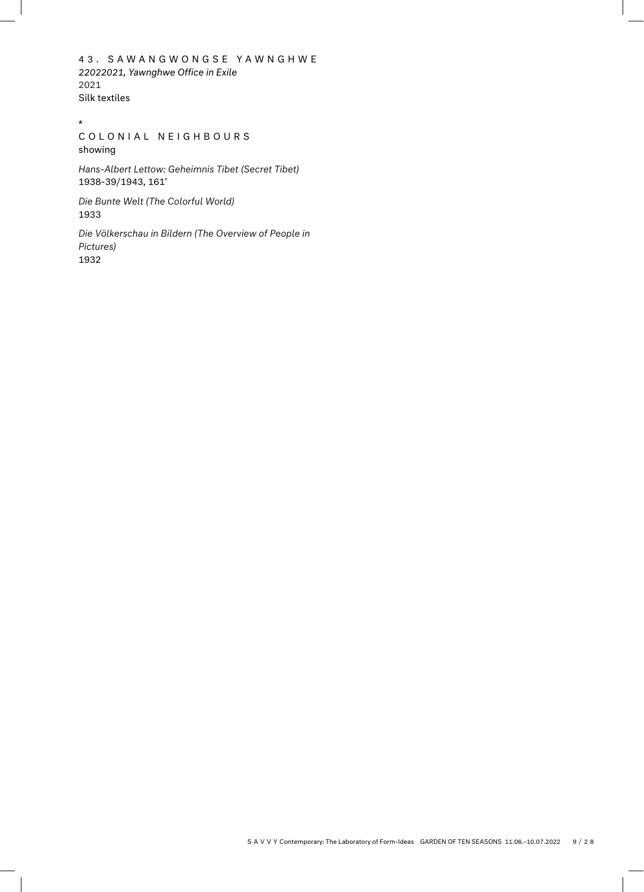43. SAWANGWONGSE YAWNGHWE *22022021, Yawnghwe Office in Exile* 2021 Silk textiles

\* COLONIAL NEIGHBOURS showing

*Hans-Albert Lettow: Geheimnis Tibet (Secret Tibet)* 1938-39/1943, 161'

*Die Bunte Welt (The Colorful World)* 1933

*Die Völkerschau in Bildern (The Overview of People in Pictures)* 1932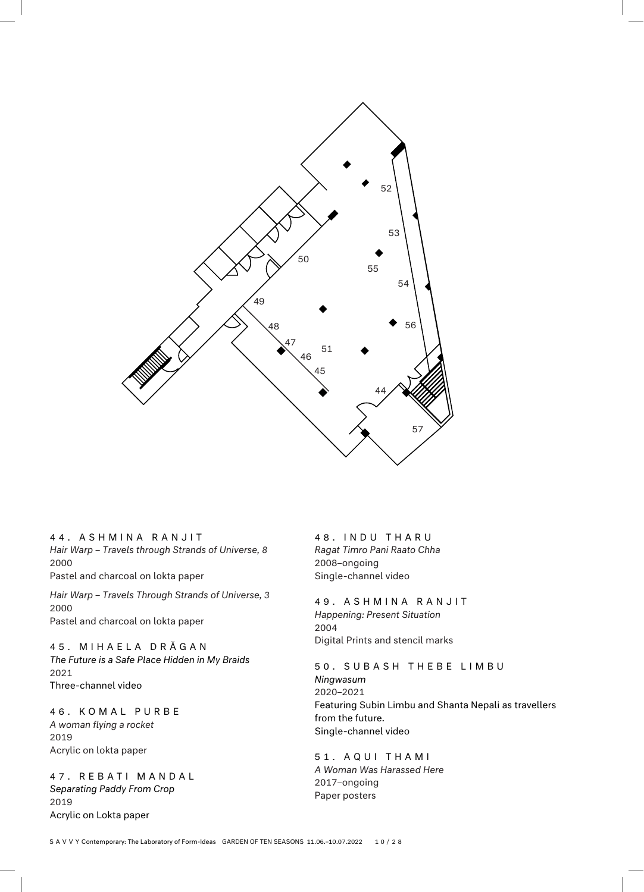

44. ASHMINA RANJIT *Hair Warp – Travels through Strands of Universe, 8* 2000 Pastel and charcoal on lokta paper

*Hair Warp – Travels Through Strands of Universe, 3* 2000 Pastel and charcoal on lokta paper

45. MIHAELA DRĂGAN *The Future is a Safe Place Hidden in My Braids* 2021 Three-channel video

46. KOMAL PURBE *A woman flying a rocket*  2019 Acrylic on lokta paper

47. REBATI MANDAL *Separating Paddy From Crop* 2019 Acrylic on Lokta paper

48. INDU THARU *Ragat Timro Pani Raato Chha*  2008–ongoing Single-channel video

49. ASHMINA RANJIT *Happening: Present Situation* 2004 Digital Prints and stencil marks

50. SUBASH THEBE LIMBU *Ningwasum* 2020–2021 Featuring Subin Limbu and Shanta Nepali as travellers from the future. Single-channel video

51. AQUI THAMI *A Woman Was Harassed Here* 2017–ongoing Paper posters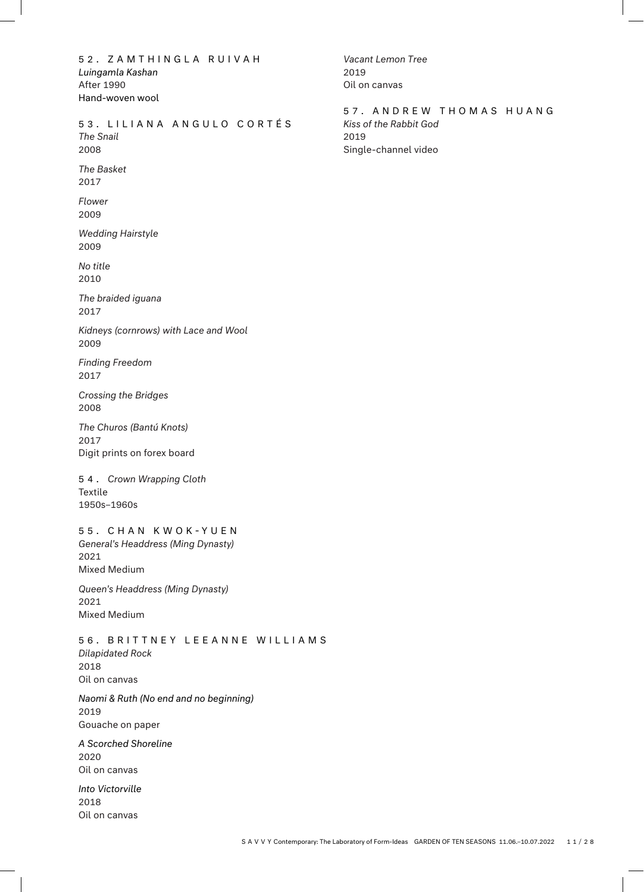52. ZAMTHINGLA RUIVAH *Luingamla Kashan* After 1990 Hand-woven wool

53. LILIANA ANGULO CORTÉS *The Snail* 2008

*The Basket* 2017

*Flower* 2009

*Wedding Hairstyle* 2009

*No title* 2010

*The braided iguana* 2017

*Kidneys (cornrows) with Lace and Wool* 2009

*Finding Freedom* 2017

*Crossing the Bridges*  2008

*The Churos (Bantú Knots)* 2017 Digit prints on forex board

54. *Crown Wrapping Cloth* Textile 1950s–1960s

55. CHAN KWOK-YUEN *General's Headdress (Ming Dynasty)* 2021 Mixed Medium

*Queen's Headdress (Ming Dynasty)* 2021 Mixed Medium

56. BRIT TNEY LEEANNE WILLIAMS *Dilapidated Rock* 2018 Oil on canvas

*Naomi & Ruth (No end and no beginning)* 2019 Gouache on paper

*A Scorched Shoreline* 2020 Oil on canvas

*Into Victorville* 2018 Oil on canvas

*Vacant Lemon Tree* 2019 Oil on canvas

57. ANDREW THOMAS HUANG *Kiss of the Rabbit God* 2019 Single-channel video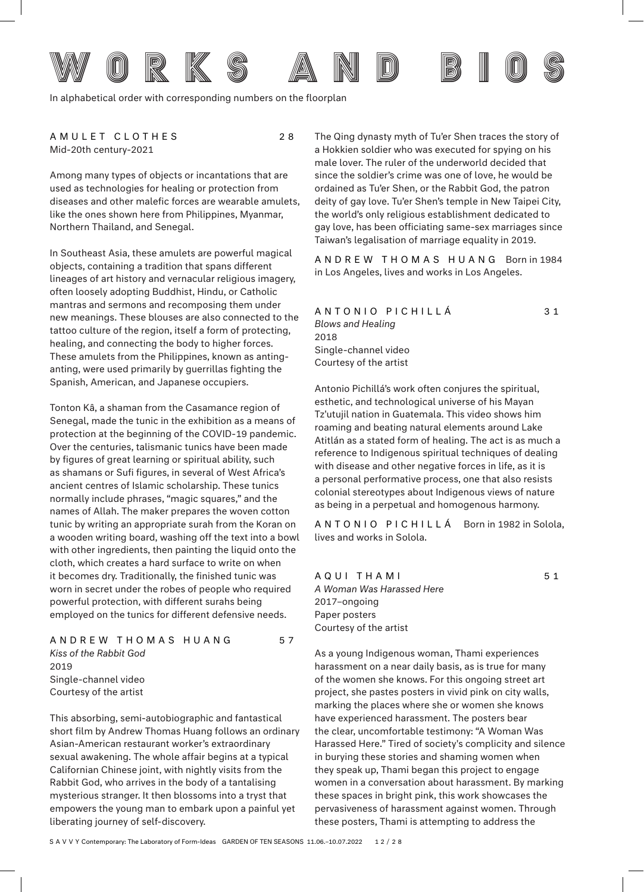

In alphabetical order with corresponding numbers on the floorplan

AMULET CLOTHES 28 Mid-20th century-2021

Among many types of objects or incantations that are used as technologies for healing or protection from diseases and other malefic forces are wearable amulets, like the ones shown here from Philippines, Myanmar, Northern Thailand, and Senegal.

In Southeast Asia, these amulets are powerful magical objects, containing a tradition that spans different lineages of art history and vernacular religious imagery, often loosely adopting Buddhist, Hindu, or Catholic mantras and sermons and recomposing them under new meanings. These blouses are also connected to the tattoo culture of the region, itself a form of protecting, healing, and connecting the body to higher forces. These amulets from the Philippines, known as antinganting, were used primarily by guerrillas fighting the Spanish, American, and Japanese occupiers.

Tonton Kâ, a shaman from the Casamance region of Senegal, made the tunic in the exhibition as a means of protection at the beginning of the COVID-19 pandemic. Over the centuries, talismanic tunics have been made by figures of great learning or spiritual ability, such as shamans or Sufi figures, in several of West Africa's ancient centres of Islamic scholarship. These tunics normally include phrases, "magic squares," and the names of Allah. The maker prepares the woven cotton tunic by writing an appropriate surah from the Koran on a wooden writing board, washing off the text into a bowl with other ingredients, then painting the liquid onto the cloth, which creates a hard surface to write on when it becomes dry. Traditionally, the finished tunic was worn in secret under the robes of people who required powerful protection, with different surahs being employed on the tunics for different defensive needs.

| ANDREW THOMAS HUANG    | 57 |
|------------------------|----|
| Kiss of the Rabbit God |    |
| 2019                   |    |
| Single-channel video   |    |
| Courtesy of the artist |    |

This absorbing, semi-autobiographic and fantastical short film by Andrew Thomas Huang follows an ordinary Asian-American restaurant worker's extraordinary sexual awakening. The whole affair begins at a typical Californian Chinese joint, with nightly visits from the Rabbit God, who arrives in the body of a tantalising mysterious stranger. It then blossoms into a tryst that empowers the young man to embark upon a painful yet liberating journey of self-discovery.

The Qing dynasty myth of Tu'er Shen traces the story of a Hokkien soldier who was executed for spying on his male lover. The ruler of the underworld decided that since the soldier's crime was one of love, he would be ordained as Tu'er Shen, or the Rabbit God, the patron deity of gay love. Tu'er Shen's temple in New Taipei City, the world's only religious establishment dedicated to gay love, has been officiating same-sex marriages since Taiwan's legalisation of marriage equality in 2019.

A NDREW THOMAS HUANG Born in 1984 in Los Angeles, lives and works in Los Angeles.

ANTONIO PICHILLÁ 31 *Blows and Healing* 2018 Single-channel video Courtesy of the artist

Antonio Pichillá's work often conjures the spiritual, esthetic, and technological universe of his Mayan Tz'utujil nation in Guatemala. This video shows him roaming and beating natural elements around Lake Atitlán as a stated form of healing. The act is as much a reference to Indigenous spiritual techniques of dealing with disease and other negative forces in life, as it is a personal performative process, one that also resists colonial stereotypes about Indigenous views of nature as being in a perpetual and homogenous harmony.

A NTONIO PICHILLÁ Born in 1982 in Solola, lives and works in Solola.

AQUI THAMI 51 *A Woman Was Harassed Here* 2017–ongoing Paper posters Courtesy of the artist

As a young Indigenous woman, Thami experiences harassment on a near daily basis, as is true for many of the women she knows. For this ongoing street art project, she pastes posters in vivid pink on city walls, marking the places where she or women she knows have experienced harassment. The posters bear the clear, uncomfortable testimony: "A Woman Was Harassed Here." Tired of society's complicity and silence in burying these stories and shaming women when they speak up, Thami began this project to engage women in a conversation about harassment. By marking these spaces in bright pink, this work showcases the pervasiveness of harassment against women. Through these posters, Thami is attempting to address the

S A V V Y Contemporary: The Laboratory of Form-Ideas GARDEN OF TEN SEASONS 11.06.-10.07.2022 12/28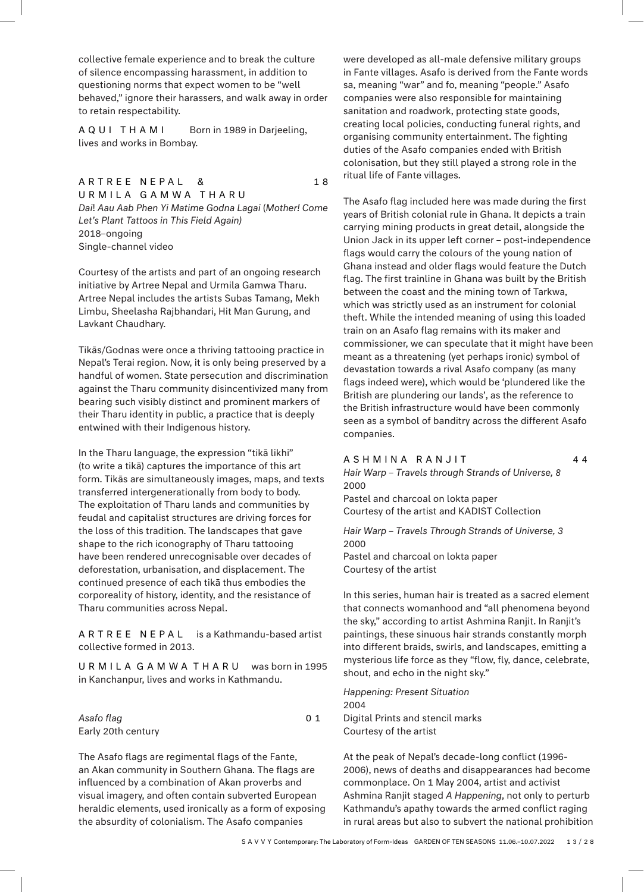collective female experience and to break the culture of silence encompassing harassment, in addition to questioning norms that expect women to be "well behaved," ignore their harassers, and walk away in order to retain respectability.

AQUI THAM I Born in 1989 in Darjeeling, lives and works in Bombay.

#### ARTREE NEPAL & 18 URMILA GAMWA THARU *Dai*! *Aau Aab Phen Yi Matime Godna Lagai* (*Mother! Come Let's Plant Tattoos in This Field Again)* 2018–ongoing Single-channel video

Courtesy of the artists and part of an ongoing research initiative by Artree Nepal and Urmila Gamwa Tharu. Artree Nepal includes the artists Subas Tamang, Mekh Limbu, Sheelasha Rajbhandari, Hit Man Gurung, and Lavkant Chaudhary.

Tikās/Godnas were once a thriving tattooing practice in Nepal's Terai region. Now, it is only being preserved by a handful of women. State persecution and discrimination against the Tharu community disincentivized many from bearing such visibly distinct and prominent markers of their Tharu identity in public, a practice that is deeply entwined with their Indigenous history.

In the Tharu language, the expression "tikā likhi" (to write a tikā) captures the importance of this art form. Tikās are simultaneously images, maps, and texts transferred intergenerationally from body to body. The exploitation of Tharu lands and communities by feudal and capitalist structures are driving forces for the loss of this tradition. The landscapes that gave shape to the rich iconography of Tharu tattooing have been rendered unrecognisable over decades of deforestation, urbanisation, and displacement. The continued presence of each tikā thus embodies the corporeality of history, identity, and the resistance of Tharu communities across Nepal.

A RTREE NEPAL is a Kathmandu-based artist collective formed in 2013.

U RMILA GAMWA THARU was born in 1995 in Kanchanpur, lives and works in Kathmandu.

*Asafo flag* 0 1 Early 20th century

The Asafo flags are regimental flags of the Fante, an Akan community in Southern Ghana. The flags are influenced by a combination of Akan proverbs and visual imagery, and often contain subverted European heraldic elements, used ironically as a form of exposing the absurdity of colonialism. The Asafo companies

were developed as all-male defensive military groups in Fante villages. Asafo is derived from the Fante words sa, meaning "war" and fo, meaning "people." Asafo companies were also responsible for maintaining sanitation and roadwork, protecting state goods, creating local policies, conducting funeral rights, and organising community entertainment. The fighting duties of the Asafo companies ended with British colonisation, but they still played a strong role in the ritual life of Fante villages.

The Asafo flag included here was made during the first years of British colonial rule in Ghana. It depicts a train carrying mining products in great detail, alongside the Union Jack in its upper left corner – post-independence flags would carry the colours of the young nation of Ghana instead and older flags would feature the Dutch flag. The first trainline in Ghana was built by the British between the coast and the mining town of Tarkwa, which was strictly used as an instrument for colonial theft. While the intended meaning of using this loaded train on an Asafo flag remains with its maker and commissioner, we can speculate that it might have been meant as a threatening (yet perhaps ironic) symbol of devastation towards a rival Asafo company (as many flags indeed were), which would be 'plundered like the British are plundering our lands', as the reference to the British infrastructure would have been commonly seen as a symbol of banditry across the different Asafo companies.

#### ASHMINA RANJIT 44

*Hair Warp – Travels through Strands of Universe, 8* 2000

Pastel and charcoal on lokta paper Courtesy of the artist and KADIST Collection

*Hair Warp – Travels Through Strands of Universe, 3* 2000 Pastel and charcoal on lokta paper Courtesy of the artist

In this series, human hair is treated as a sacred element that connects womanhood and "all phenomena beyond the sky," according to artist Ashmina Ranjit. In Ranjit's paintings, these sinuous hair strands constantly morph into different braids, swirls, and landscapes, emitting a mysterious life force as they "flow, fly, dance, celebrate, shout, and echo in the night sky."

*Happening: Present Situation* 2004 Digital Prints and stencil marks Courtesy of the artist

At the peak of Nepal's decade-long conflict (1996- 2006), news of deaths and disappearances had become commonplace. On 1 May 2004, artist and activist Ashmina Ranjit staged *A Happening*, not only to perturb Kathmandu's apathy towards the armed conflict raging in rural areas but also to subvert the national prohibition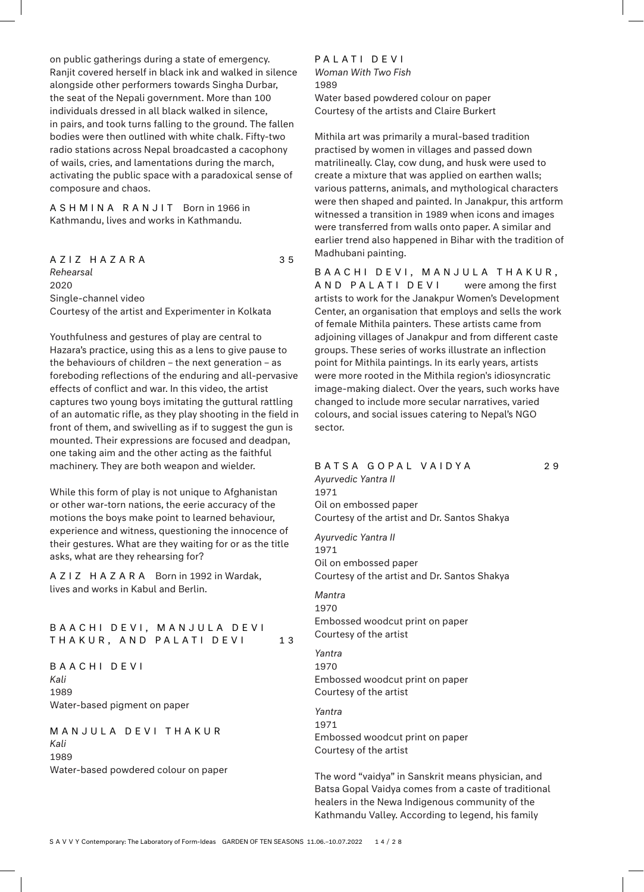on public gatherings during a state of emergency. Ranjit covered herself in black ink and walked in silence alongside other performers towards Singha Durbar, the seat of the Nepali government. More than 100 individuals dressed in all black walked in silence, in pairs, and took turns falling to the ground. The fallen bodies were then outlined with white chalk. Fifty-two radio stations across Nepal broadcasted a cacophony of wails, cries, and lamentations during the march, activating the public space with a paradoxical sense of composure and chaos.

A SHMINA RANJIT Born in 1966 in Kathmandu, lives and works in Kathmandu.

AZIZ HAZARA 35 *Rehearsal* 2020 Single-channel video Courtesy of the artist and Experimenter in Kolkata

Youthfulness and gestures of play are central to Hazara's practice, using this as a lens to give pause to the behaviours of children – the next generation – as foreboding reflections of the enduring and all-pervasive effects of conflict and war. In this video, the artist captures two young boys imitating the guttural rattling of an automatic rifle, as they play shooting in the field in front of them, and swivelling as if to suggest the gun is mounted. Their expressions are focused and deadpan, one taking aim and the other acting as the faithful machinery. They are both weapon and wielder.

While this form of play is not unique to Afghanistan or other war-torn nations, the eerie accuracy of the motions the boys make point to learned behaviour, experience and witness, questioning the innocence of their gestures. What are they waiting for or as the title asks, what are they rehearsing for?

A ZIZ HAZARA Born in 1992 in Wardak, lives and works in Kabul and Berlin.

B A A C H I D E V I, M A N J U L A D E V I THAKUR, AND PALATI DEVI 13

B A A C H I D E V I *Kali* 1989 Water-based pigment on paper

MANJULA DEVI THAKUR *Kali* 1989 Water-based powdered colour on paper P ALATI DEVI *Woman With Two Fish*  1989 Water based powdered colour on paper Courtesy of the artists and Claire Burkert

Mithila art was primarily a mural-based tradition practised by women in villages and passed down matrilineally. Clay, cow dung, and husk were used to create a mixture that was applied on earthen walls; various patterns, animals, and mythological characters were then shaped and painted. In Janakpur, this artform witnessed a transition in 1989 when icons and images were transferred from walls onto paper. A similar and earlier trend also happened in Bihar with the tradition of Madhubani painting.

B A A C H I D E V I, M A N J U L A T H A K U R, AND PALATI DEVI were among the first artists to work for the Janakpur Women's Development Center, an organisation that employs and sells the work of female Mithila painters. These artists came from adjoining villages of Janakpur and from different caste groups. These series of works illustrate an inflection point for Mithila paintings. In its early years, artists were more rooted in the Mithila region's idiosyncratic image-making dialect. Over the years, such works have changed to include more secular narratives, varied colours, and social issues catering to Nepal's NGO sector.

BATSA GOPAL VAIDYA 29 *Ayurvedic Yantra II* 1971 Oil on embossed paper Courtesy of the artist and Dr. Santos Shakya

*Ayurvedic Yantra II* 1971 Oil on embossed paper Courtesy of the artist and Dr. Santos Shakya

*Mantra* 1970 Embossed woodcut print on paper Courtesy of the artist

*Yantra* 1970 Embossed woodcut print on paper Courtesy of the artist

*Yantra* 1971 Embossed woodcut print on paper Courtesy of the artist

The word "vaidya" in Sanskrit means physician, and Batsa Gopal Vaidya comes from a caste of traditional healers in the Newa Indigenous community of the Kathmandu Valley. According to legend, his family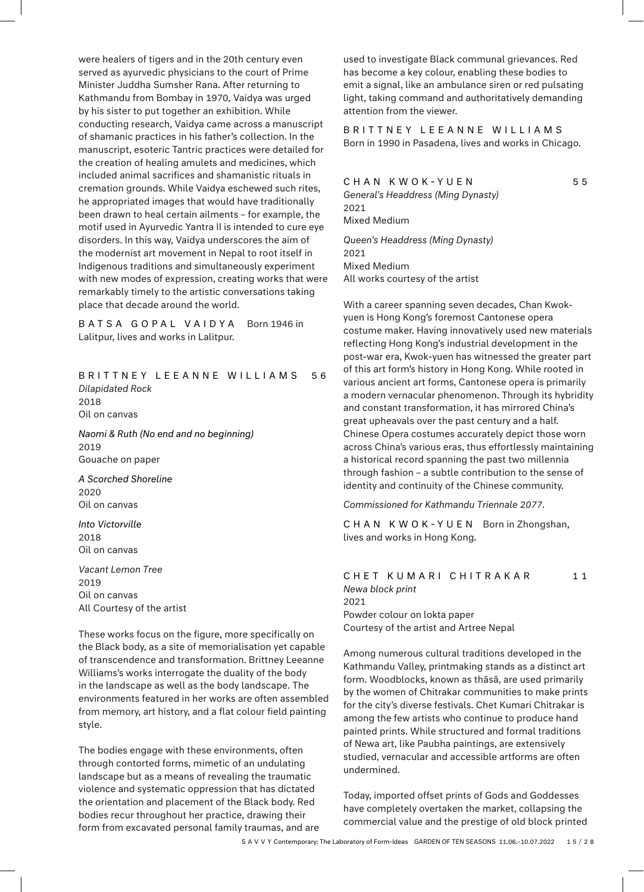were healers of tigers and in the 20th century even served as ayurvedic physicians to the court of Prime Minister Juddha Sumsher Rana. After returning to Kathmandu from Bombay in 1970, Vaidya was urged by his sister to put together an exhibition. While conducting research, Vaidya came across a manuscript of shamanic practices in his father's collection. In the manuscript, esoteric Tantric practices were detailed for the creation of healing amulets and medicines, which included animal sacrifices and shamanistic rituals in cremation grounds. While Vaidya eschewed such rites, he appropriated images that would have traditionally been drawn to heal certain ailments – for example, the motif used in Ayurvedic Yantra II is intended to cure eye disorders. In this way, Vaidya underscores the aim of the modernist art movement in Nepal to root itself in Indigenous traditions and simultaneously experiment with new modes of expression, creating works that were remarkably timely to the artistic conversations taking place that decade around the world.

BATSA GOPAL VAIDYA Born 1946 in Lalitpur, lives and works in Lalitpur.

BRIT TNEY LEEANNE WILLIAMS 56 *Dilapidated Rock* 2018 Oil on canvas

*Naomi & Ruth (No end and no beginning)* 2019 Gouache on paper

*A Scorched Shoreline* 2020 Oil on canvas

*Into Victorville* 2018 Oil on canvas

*Vacant Lemon Tree* 2019 Oil on canvas All Courtesy of the artist

These works focus on the figure, more specifically on the Black body, as a site of memorialisation yet capable of transcendence and transformation. Brittney Leeanne Williams's works interrogate the duality of the body in the landscape as well as the body landscape. The environments featured in her works are often assembled from memory, art history, and a flat colour field painting style.

The bodies engage with these environments, often through contorted forms, mimetic of an undulating landscape but as a means of revealing the traumatic violence and systematic oppression that has dictated the orientation and placement of the Black body. Red bodies recur throughout her practice, drawing their form from excavated personal family traumas, and are used to investigate Black communal grievances. Red has become a key colour, enabling these bodies to emit a signal, like an ambulance siren or red pulsating light, taking command and authoritatively demanding attention from the viewer.

B RITTNEY LEEANNE WILLIAMS Born in 1990 in Pasadena, lives and works in Chicago.

CHAN KWOK-YUEN 55 *General's Headdress (Ming Dynasty)* 2021 Mixed Medium

*Queen's Headdress (Ming Dynasty)* 2021 Mixed Medium All works courtesy of the artist

With a career spanning seven decades, Chan Kwokyuen is Hong Kong's foremost Cantonese opera costume maker. Having innovatively used new materials reflecting Hong Kong's industrial development in the post-war era, Kwok-yuen has witnessed the greater part of this art form's history in Hong Kong. While rooted in various ancient art forms, Cantonese opera is primarily a modern vernacular phenomenon. Through its hybridity and constant transformation, it has mirrored China's great upheavals over the past century and a half. Chinese Opera costumes accurately depict those worn across China's various eras, thus effortlessly maintaining a historical record spanning the past two millennia through fashion – a subtle contribution to the sense of identity and continuity of the Chinese community.

*Commissioned for Kathmandu Triennale 2077.*

C HAN KWOK-YUEN Born in Zhongshan, lives and works in Hong Kong.

CHET KUMARI CHITRAKAR 11 *Newa block print* 2021 Powder colour on lokta paper Courtesy of the artist and Artree Nepal

Among numerous cultural traditions developed in the Kathmandu Valley, printmaking stands as a distinct art form. Woodblocks, known as thāsā, are used primarily by the women of Chitrakar communities to make prints for the city's diverse festivals. Chet Kumari Chitrakar is among the few artists who continue to produce hand painted prints. While structured and formal traditions of Newa art, like Paubha paintings, are extensively studied, vernacular and accessible artforms are often undermined.

Today, imported offset prints of Gods and Goddesses have completely overtaken the market, collapsing the commercial value and the prestige of old block printed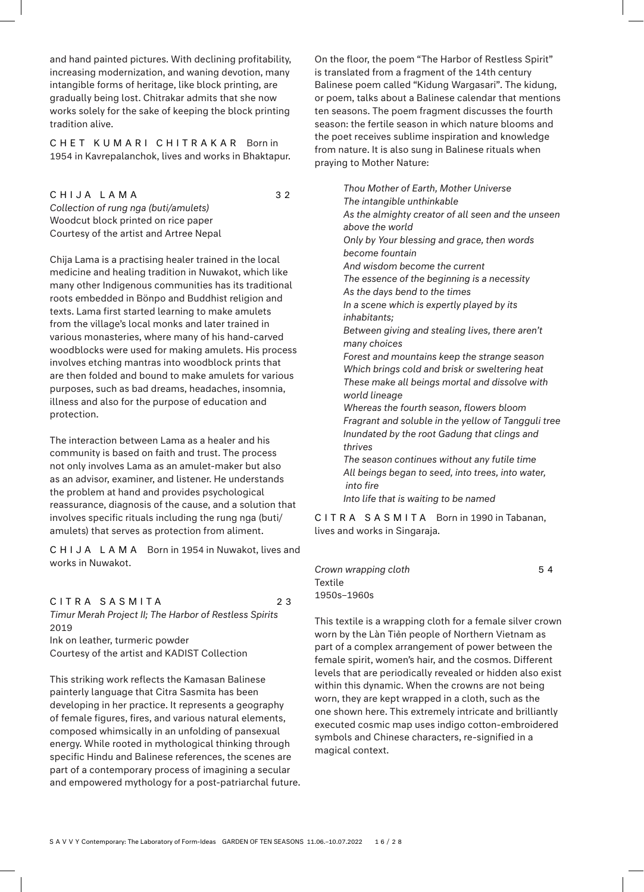and hand painted pictures. With declining profitability, increasing modernization, and waning devotion, many intangible forms of heritage, like block printing, are gradually being lost. Chitrakar admits that she now works solely for the sake of keeping the block printing tradition alive.

C HET KUMARI CHITRAKAR Born in 1954 in Kavrepalanchok, lives and works in Bhaktapur.

CHIJA LAMA 32 *Collection of rung nga (buti/amulets)*  Woodcut block printed on rice paper Courtesy of the artist and Artree Nepal

Chija Lama is a practising healer trained in the local medicine and healing tradition in Nuwakot, which like many other Indigenous communities has its traditional roots embedded in Bönpo and Buddhist religion and texts. Lama first started learning to make amulets from the village's local monks and later trained in various monasteries, where many of his hand-carved woodblocks were used for making amulets. His process involves etching mantras into woodblock prints that are then folded and bound to make amulets for various purposes, such as bad dreams, headaches, insomnia, illness and also for the purpose of education and protection.

The interaction between Lama as a healer and his community is based on faith and trust. The process not only involves Lama as an amulet-maker but also as an advisor, examiner, and listener. He understands the problem at hand and provides psychological reassurance, diagnosis of the cause, and a solution that involves specific rituals including the rung nga (buti/ amulets) that serves as protection from aliment.

C HIJA LAMA Born in 1954 in Nuwakot, lives and works in Nuwakot.

#### CITRA SASMITA 23 *Timur Merah Project II; The Harbor of Restless Spirits* 2019 Ink on leather, turmeric powder Courtesy of the artist and KADIST Collection

This striking work reflects the Kamasan Balinese painterly language that Citra Sasmita has been developing in her practice. It represents a geography of female figures, fires, and various natural elements, composed whimsically in an unfolding of pansexual energy. While rooted in mythological thinking through specific Hindu and Balinese references, the scenes are part of a contemporary process of imagining a secular and empowered mythology for a post-patriarchal future.

On the floor, the poem "The Harbor of Restless Spirit" is translated from a fragment of the 14th century Balinese poem called "Kidung Wargasari". The kidung, or poem, talks about a Balinese calendar that mentions ten seasons. The poem fragment discusses the fourth season: the fertile season in which nature blooms and the poet receives sublime inspiration and knowledge from nature. It is also sung in Balinese rituals when praying to Mother Nature:

*Thou Mother of Earth, Mother Universe The intangible unthinkable As the almighty creator of all seen and the unseen above the world Only by Your blessing and grace, then words become fountain And wisdom become the current The essence of the beginning is a necessity As the days bend to the times In a scene which is expertly played by its inhabitants; Between giving and stealing lives, there aren't many choices Forest and mountains keep the strange season Which brings cold and brisk or sweltering heat These make all beings mortal and dissolve with world lineage Whereas the fourth season, flowers bloom Fragrant and soluble in the yellow of Tangguli tree Inundated by the root Gadung that clings and thrives The season continues without any futile time All beings began to seed, into trees, into water, into fire Into life that is waiting to be named* C ITRA SASMITA Born in 1990 in Tabanan,

*Crown wrapping cloth* 5 4 **Textile** 1950s–1960s

lives and works in Singaraja.

This textile is a wrapping cloth for a female silver crown worn by the Làn Tiẻn people of Northern Vietnam as part of a complex arrangement of power between the female spirit, women's hair, and the cosmos. Different levels that are periodically revealed or hidden also exist within this dynamic. When the crowns are not being worn, they are kept wrapped in a cloth, such as the one shown here. This extremely intricate and brilliantly executed cosmic map uses indigo cotton-embroidered symbols and Chinese characters, re-signified in a magical context.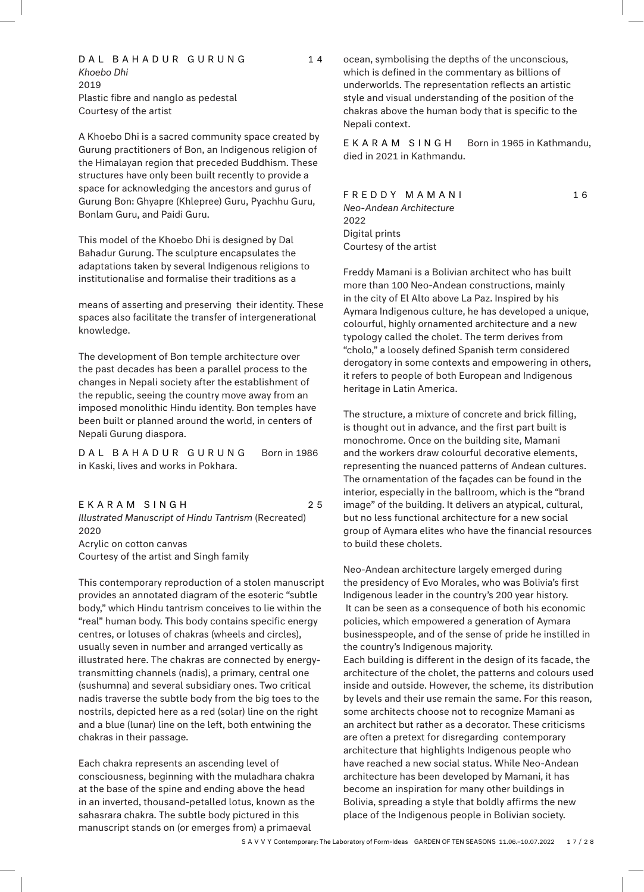DAL BAHADUR GURUNG 14 *Khoebo Dhi* 2019 Plastic fibre and nanglo as pedestal Courtesy of the artist

A Khoebo Dhi is a sacred community space created by Gurung practitioners of Bon, an Indigenous religion of the Himalayan region that preceded Buddhism. These structures have only been built recently to provide a space for acknowledging the ancestors and gurus of Gurung Bon: Ghyapre (Khlepree) Guru, Pyachhu Guru, Bonlam Guru, and Paidi Guru.

This model of the Khoebo Dhi is designed by Dal Bahadur Gurung. The sculpture encapsulates the adaptations taken by several Indigenous religions to institutionalise and formalise their traditions as a

means of asserting and preserving their identity. These spaces also facilitate the transfer of intergenerational knowledge.

The development of Bon temple architecture over the past decades has been a parallel process to the changes in Nepali society after the establishment of the republic, seeing the country move away from an imposed monolithic Hindu identity. Bon temples have been built or planned around the world, in centers of Nepali Gurung diaspora.

D AL BAHADUR GURUNG Born in 1986 in Kaski, lives and works in Pokhara.

EKARAM SINGH 25 *Illustrated Manuscript of Hindu Tantrism* (Recreated) 2020 Acrylic on cotton canvas Courtesy of the artist and Singh family

This contemporary reproduction of a stolen manuscript provides an annotated diagram of the esoteric "subtle body," which Hindu tantrism conceives to lie within the "real" human body. This body contains specific energy centres, or lotuses of chakras (wheels and circles), usually seven in number and arranged vertically as illustrated here. The chakras are connected by energytransmitting channels (nadis), a primary, central one (sushumna) and several subsidiary ones. Two critical nadis traverse the subtle body from the big toes to the nostrils, depicted here as a red (solar) line on the right and a blue (lunar) line on the left, both entwining the chakras in their passage.

Each chakra represents an ascending level of consciousness, beginning with the muladhara chakra at the base of the spine and ending above the head in an inverted, thousand-petalled lotus, known as the sahasrara chakra. The subtle body pictured in this manuscript stands on (or emerges from) a primaeval

ocean, symbolising the depths of the unconscious, which is defined in the commentary as billions of underworlds. The representation reflects an artistic style and visual understanding of the position of the chakras above the human body that is specific to the Nepali context.

E KARAM SINGH Born in 1965 in Kathmandu, died in 2021 in Kathmandu.

FREDDY MAMANI 16 *Neo-Andean Architecture* 2022 Digital prints Courtesy of the artist

Freddy Mamani is a Bolivian architect who has built more than 100 Neo-Andean constructions, mainly in the city of El Alto above La Paz. Inspired by his Aymara Indigenous culture, he has developed a unique, colourful, highly ornamented architecture and a new typology called the cholet. The term derives from "cholo," a loosely defined Spanish term considered derogatory in some contexts and empowering in others, it refers to people of both European and Indigenous heritage in Latin America.

The structure, a mixture of concrete and brick filling, is thought out in advance, and the first part built is monochrome. Once on the building site, Mamani and the workers draw colourful decorative elements, representing the nuanced patterns of Andean cultures. The ornamentation of the façades can be found in the interior, especially in the ballroom, which is the "brand image" of the building. It delivers an atypical, cultural, but no less functional architecture for a new social group of Aymara elites who have the financial resources to build these cholets.

Neo-Andean architecture largely emerged during the presidency of Evo Morales, who was Bolivia's first Indigenous leader in the country's 200 year history. It can be seen as a consequence of both his economic policies, which empowered a generation of Aymara businesspeople, and of the sense of pride he instilled in the country's Indigenous majority. Each building is different in the design of its facade, the architecture of the cholet, the patterns and colours used inside and outside. However, the scheme, its distribution by levels and their use remain the same. For this reason, some architects choose not to recognize Mamani as an architect but rather as a decorator. These criticisms are often a pretext for disregarding contemporary architecture that highlights Indigenous people who have reached a new social status. While Neo-Andean architecture has been developed by Mamani, it has become an inspiration for many other buildings in Bolivia, spreading a style that boldly affirms the new place of the Indigenous people in Bolivian society.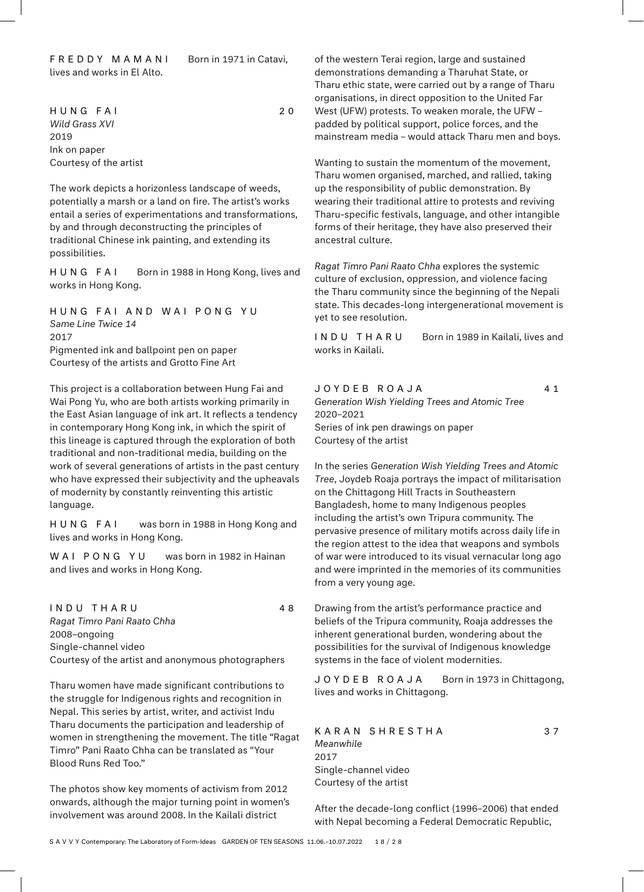FREDDY MAMANI Born in 1971 in Catavi, lives and works in El Alto.

HUNG FAI 20 *Wild Grass XVI* 2019 Ink on paper Courtesy of the artist

The work depicts a horizonless landscape of weeds, potentially a marsh or a land on fire. The artist's works entail a series of experimentations and transformations, by and through deconstructing the principles of traditional Chinese ink painting, and extending its possibilities.

H UNG FAI Born in 1988 in Hong Kong, lives and works in Hong Kong.

HUNG FAI AND WAI PONG YU *Same Line Twice 14* 2017 Pigmented ink and ballpoint pen on paper Courtesy of the artists and Grotto Fine Art

This project is a collaboration between Hung Fai and Wai Pong Yu, who are both artists working primarily in the East Asian language of ink art. It reflects a tendency in contemporary Hong Kong ink, in which the spirit of this lineage is captured through the exploration of both traditional and non-traditional media, building on the work of several generations of artists in the past century who have expressed their subjectivity and the upheavals of modernity by constantly reinventing this artistic language.

HUNG FAI was born in 1988 in Hong Kong and lives and works in Hong Kong.

W A I P O N G Y U was born in 1982 in Hainan and lives and works in Hong Kong.

INDU THARU 48 *Ragat Timro Pani Raato Chha*  2008–ongoing Single-channel video Courtesy of the artist and anonymous photographers

Tharu women have made significant contributions to the struggle for Indigenous rights and recognition in Nepal. This series by artist, writer, and activist Indu Tharu documents the participation and leadership of women in strengthening the movement. The title "Ragat Timro" Pani Raato Chha can be translated as "Your Blood Runs Red Too."

The photos show key moments of activism from 2012 onwards, although the major turning point in women's involvement was around 2008. In the Kailali district

of the western Terai region, large and sustained demonstrations demanding a Tharuhat State, or Tharu ethic state, were carried out by a range of Tharu organisations, in direct opposition to the United Far West (UFW) protests. To weaken morale, the UFW – padded by political support, police forces, and the mainstream media – would attack Tharu men and boys.

Wanting to sustain the momentum of the movement, Tharu women organised, marched, and rallied, taking up the responsibility of public demonstration. By wearing their traditional attire to protests and reviving Tharu-specific festivals, language, and other intangible forms of their heritage, they have also preserved their ancestral culture.

*Ragat Timro Pani Raato Chha* explores the systemic culture of exclusion, oppression, and violence facing the Tharu community since the beginning of the Nepali state. This decades-long intergenerational movement is yet to see resolution.

I NDU THARU Born in 1989 in Kailali, lives and works in Kailali.

JOYDEB ROAJA 41 *Generation Wish Yielding Trees and Atomic Tree* 2020–2021 Series of ink pen drawings on paper Courtesy of the artist

In the series *Generation Wish Yielding Trees and Atomic Tree*, Joydeb Roaja portrays the impact of militarisation on the Chittagong Hill Tracts in Southeastern Bangladesh, home to many Indigenous peoples including the artist's own Tripura community. The pervasive presence of military motifs across daily life in the region attest to the idea that weapons and symbols of war were introduced to its visual vernacular long ago and were imprinted in the memories of its communities from a very young age.

Drawing from the artist's performance practice and beliefs of the Tripura community, Roaja addresses the inherent generational burden, wondering about the possibilities for the survival of Indigenous knowledge systems in the face of violent modernities.

JOYDEB ROAJA Born in 1973 in Chittagong, lives and works in Chittagong.

KARAN SHRESTHA 37 *Meanwhile* 2017 Single-channel video Courtesy of the artist

After the decade-long conflict (1996–2006) that ended with Nepal becoming a Federal Democratic Republic,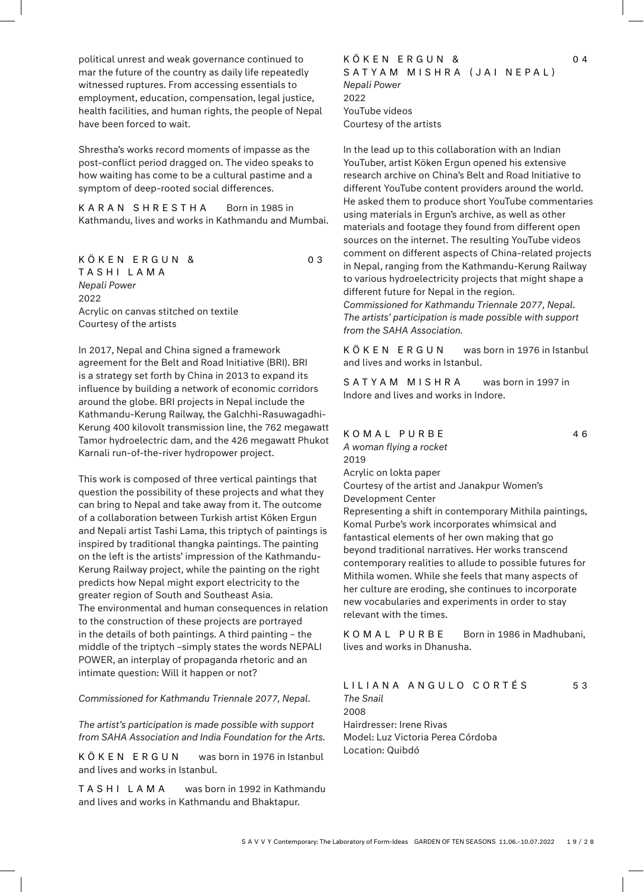political unrest and weak governance continued to mar the future of the country as daily life repeatedly witnessed ruptures. From accessing essentials to employment, education, compensation, legal justice, health facilities, and human rights, the people of Nepal have been forced to wait.

Shrestha's works record moments of impasse as the post-conflict period dragged on. The video speaks to how waiting has come to be a cultural pastime and a symptom of deep-rooted social differences.

KARAN SHRESTHA Born in 1985 in Kathmandu, lives and works in Kathmandu and Mumbai.

KÖKEN ERGUN & 03 TASHI LAMA *Nepali Power*  2022 Acrylic on canvas stitched on textile Courtesy of the artists

In 2017, Nepal and China signed a framework agreement for the Belt and Road Initiative (BRI). BRI is a strategy set forth by China in 2013 to expand its influence by building a network of economic corridors around the globe. BRI projects in Nepal include the Kathmandu-Kerung Railway, the Galchhi-Rasuwagadhi-Kerung 400 kilovolt transmission line, the 762 megawatt Tamor hydroelectric dam, and the 426 megawatt Phukot Karnali run-of-the-river hydropower project.

This work is composed of three vertical paintings that question the possibility of these projects and what they can bring to Nepal and take away from it. The outcome of a collaboration between Turkish artist Köken Ergun and Nepali artist Tashi Lama, this triptych of paintings is inspired by traditional thangka paintings. The painting on the left is the artists' impression of the Kathmandu-Kerung Railway project, while the painting on the right predicts how Nepal might export electricity to the greater region of South and Southeast Asia. The environmental and human consequences in relation to the construction of these projects are portrayed in the details of both paintings. A third painting – the middle of the triptych –simply states the words NEPALI POWER, an interplay of propaganda rhetoric and an intimate question: Will it happen or not?

*Commissioned for Kathmandu Triennale 2077, Nepal.*

*The artist's participation is made possible with support from SAHA Association and India Foundation for the Arts.*

K ÖKEN ERGUN was born in 1976 in Istanbul and lives and works in Istanbul.

T ASHI LAMA was born in 1992 in Kathmandu and lives and works in Kathmandu and Bhaktapur.

KÖKEN ERGUN & 04 S A T Y A M M I S H R A ( J A I N E P A L ) *Nepali Power*  2022 YouTube videos Courtesy of the artists

In the lead up to this collaboration with an Indian YouTuber, artist Köken Ergun opened his extensive research archive on China's Belt and Road Initiative to different YouTube content providers around the world. He asked them to produce short YouTube commentaries using materials in Ergun's archive, as well as other materials and footage they found from different open sources on the internet. The resulting YouTube videos comment on different aspects of China-related projects in Nepal, ranging from the Kathmandu-Kerung Railway to various hydroelectricity projects that might shape a different future for Nepal in the region. *Commissioned for Kathmandu Triennale 2077, Nepal.*

*The artists' participation is made possible with support from the SAHA Association.*

K ÖKEN ERGUN was born in 1976 in Istanbul and lives and works in Istanbul.

S ATYAM MISHRA was born in 1997 in Indore and lives and works in Indore.

# KOMAL PURBE 46 *A woman flying a rocket*  2019 Acrylic on lokta paper

Courtesy of the artist and Janakpur Women's Development Center

Representing a shift in contemporary Mithila paintings, Komal Purbe's work incorporates whimsical and fantastical elements of her own making that go beyond traditional narratives. Her works transcend contemporary realities to allude to possible futures for Mithila women. While she feels that many aspects of her culture are eroding, she continues to incorporate new vocabularies and experiments in order to stay relevant with the times.

K O MAL PURBE Born in 1986 in Madhubani, lives and works in Dhanusha.

### LILIANA ANGULO CORTÉS 53 *The Snail* 2008 Hairdresser: Irene Rivas Model: Luz Victoria Perea Córdoba Location: Quibdó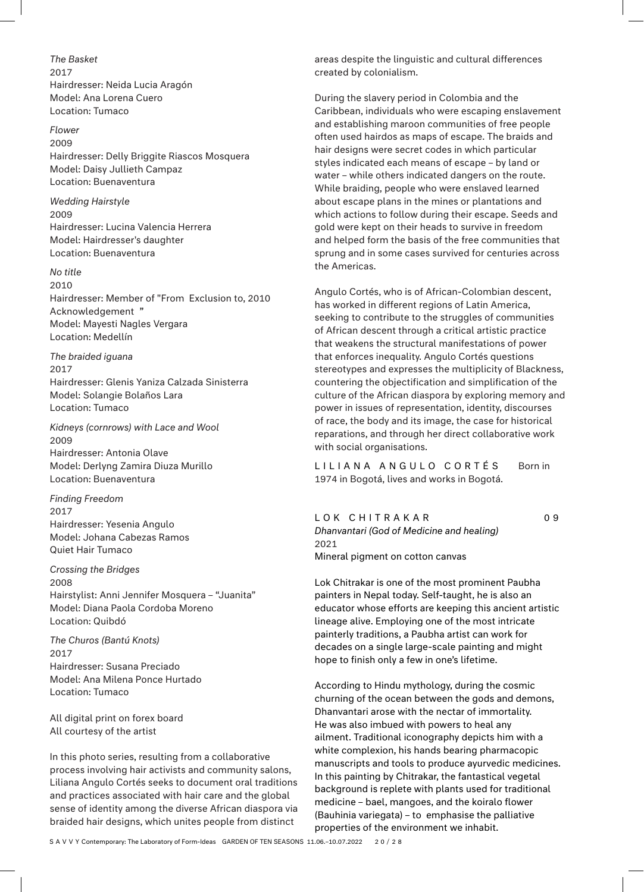*The Basket* 2017 Hairdresser: Neida Lucia Aragón Model: Ana Lorena Cuero Location: Tumaco

# *Flower*

2009 Hairdresser: Delly Briggite Riascos Mosquera Model: Daisy Jullieth Campaz Location: Buenaventura

*Wedding Hairstyle* 2009 Hairdresser: Lucina Valencia Herrera Model: Hairdresser's daughter Location: Buenaventura

*No title* 2010 Hairdresser: Member of "From Exclusion to, 2010 Acknowledgement " Model: Mayesti Nagles Vergara Location: Medellín

*The braided iguana* 2017 Hairdresser: Glenis Yaniza Calzada Sinisterra Model: Solangie Bolaños Lara Location: Tumaco

*Kidneys (cornrows) with Lace and Wool* 2009 Hairdresser: Antonia Olave Model: Derlyng Zamira Diuza Murillo Location: Buenaventura

*Finding Freedom* 2017 Hairdresser: Yesenia Angulo Model: Johana Cabezas Ramos Quiet Hair Tumaco

*Crossing the Bridges*  2008 Hairstylist: Anni Jennifer Mosquera – "Juanita" Model: Diana Paola Cordoba Moreno Location: Quibdó

*The Churos (Bantú Knots)* 2017 Hairdresser: Susana Preciado Model: Ana Milena Ponce Hurtado Location: Tumaco

All digital print on forex board All courtesy of the artist

In this photo series, resulting from a collaborative process involving hair activists and community salons, Liliana Angulo Cortés seeks to document oral traditions and practices associated with hair care and the global sense of identity among the diverse African diaspora via braided hair designs, which unites people from distinct

areas despite the linguistic and cultural differences created by colonialism.

During the slavery period in Colombia and the Caribbean, individuals who were escaping enslavement and establishing maroon communities of free people often used hairdos as maps of escape. The braids and hair designs were secret codes in which particular styles indicated each means of escape – by land or water – while others indicated dangers on the route. While braiding, people who were enslaved learned about escape plans in the mines or plantations and which actions to follow during their escape. Seeds and gold were kept on their heads to survive in freedom and helped form the basis of the free communities that sprung and in some cases survived for centuries across the Americas.

Angulo Cortés, who is of African-Colombian descent, has worked in different regions of Latin America, seeking to contribute to the struggles of communities of African descent through a critical artistic practice that weakens the structural manifestations of power that enforces inequality. Angulo Cortés questions stereotypes and expresses the multiplicity of Blackness, countering the objectification and simplification of the culture of the African diaspora by exploring memory and power in issues of representation, identity, discourses of race, the body and its image, the case for historical reparations, and through her direct collaborative work with social organisations.

L I LIANA ANGULO CORTÉS Born in 1974 in Bogotá, lives and works in Bogotá.

LOK CHITRAKAR 09 *Dhanvantari (God of Medicine and healing)* 2021 Mineral pigment on cotton canvas

Lok Chitrakar is one of the most prominent Paubha painters in Nepal today. Self-taught, he is also an educator whose efforts are keeping this ancient artistic lineage alive. Employing one of the most intricate painterly traditions, a Paubha artist can work for decades on a single large-scale painting and might hope to finish only a few in one's lifetime.

According to Hindu mythology, during the cosmic churning of the ocean between the gods and demons, Dhanvantari arose with the nectar of immortality. He was also imbued with powers to heal any ailment. Traditional iconography depicts him with a white complexion, his hands bearing pharmacopic manuscripts and tools to produce ayurvedic medicines. In this painting by Chitrakar, the fantastical vegetal background is replete with plants used for traditional medicine – bael, mangoes, and the koiralo flower (Bauhinia variegata) – to emphasise the palliative properties of the environment we inhabit.

S A V V Y Contemporary: The Laboratory of Form-Ideas GARDEN OF TEN SEASONS 11.06.-10.07.2022 20 / 28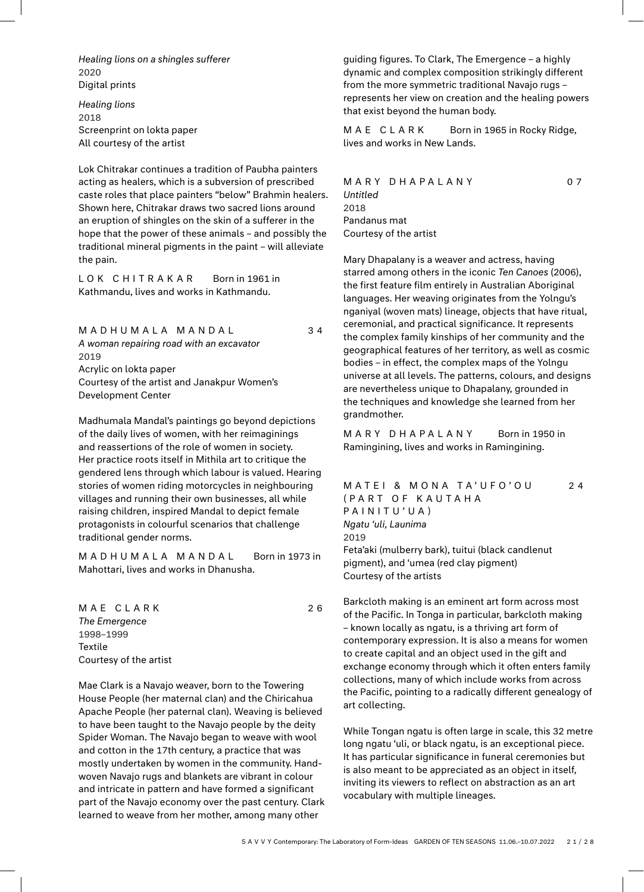*Healing lions on a shingles sufferer* 2020 Digital prints

*Healing lions* 2018 Screenprint on lokta paper All courtesy of the artist

Lok Chitrakar continues a tradition of Paubha painters acting as healers, which is a subversion of prescribed caste roles that place painters "below" Brahmin healers. Shown here, Chitrakar draws two sacred lions around an eruption of shingles on the skin of a sufferer in the hope that the power of these animals – and possibly the traditional mineral pigments in the paint – will alleviate the pain.

L O K CHITRAKAR Born in 1961 in Kathmandu, lives and works in Kathmandu.

MADHUMALA MANDAL 34 *A woman repairing road with an excavator* 2019 Acrylic on lokta paper Courtesy of the artist and Janakpur Women's Development Center

Madhumala Mandal's paintings go beyond depictions of the daily lives of women, with her reimaginings and reassertions of the role of women in society. Her practice roots itself in Mithila art to critique the gendered lens through which labour is valued. Hearing stories of women riding motorcycles in neighbouring villages and running their own businesses, all while raising children, inspired Mandal to depict female protagonists in colourful scenarios that challenge traditional gender norms.

M ADHUMALA MANDAL Born in 1973 in Mahottari, lives and works in Dhanusha.

MAE CLARK 26 *The Emergence* 1998–1999 Textile Courtesy of the artist

Mae Clark is a Navajo weaver, born to the Towering House People (her maternal clan) and the Chiricahua Apache People (her paternal clan). Weaving is believed to have been taught to the Navajo people by the deity Spider Woman. The Navajo began to weave with wool and cotton in the 17th century, a practice that was mostly undertaken by women in the community. Handwoven Navajo rugs and blankets are vibrant in colour and intricate in pattern and have formed a significant part of the Navajo economy over the past century. Clark learned to weave from her mother, among many other

guiding figures. To Clark, The Emergence – a highly dynamic and complex composition strikingly different from the more symmetric traditional Navajo rugs – represents her view on creation and the healing powers that exist beyond the human body.

M A E C L A R K Born in 1965 in Rocky Ridge, lives and works in New Lands.

MARY DHAPALANY 07 *Untitled* 2018 Pandanus mat Courtesy of the artist

Mary Dhapalany is a weaver and actress, having starred among others in the iconic *Ten Canoes* (2006), the first feature film entirely in Australian Aboriginal languages. Her weaving originates from the Yolngu's nganiyal (woven mats) lineage, objects that have ritual, ceremonial, and practical significance. It represents the complex family kinships of her community and the geographical features of her territory, as well as cosmic bodies – in effect, the complex maps of the Yolngu universe at all levels. The patterns, colours, and designs are nevertheless unique to Dhapalany, grounded in the techniques and knowledge she learned from her grandmother.

M ARY DHAPALANY Born in 1950 in Ramingining, lives and works in Ramingining.

MATEI & MONA TA'UFO'OU 24 ( P A R T O F K A U T A H A PAINITU'UA) *Ngatu 'uli, Launima* 2019 Feta'aki (mulberry bark), tuitui (black candlenut pigment), and 'umea (red clay pigment) Courtesy of the artists

Barkcloth making is an eminent art form across most of the Pacific. In Tonga in particular, barkcloth making – known locally as ngatu, is a thriving art form of contemporary expression. It is also a means for women to create capital and an object used in the gift and exchange economy through which it often enters family collections, many of which include works from across the Pacific, pointing to a radically different genealogy of art collecting.

While Tongan ngatu is often large in scale, this 32 metre long ngatu 'uli, or black ngatu, is an exceptional piece. It has particular significance in funeral ceremonies but is also meant to be appreciated as an object in itself, inviting its viewers to reflect on abstraction as an art vocabulary with multiple lineages.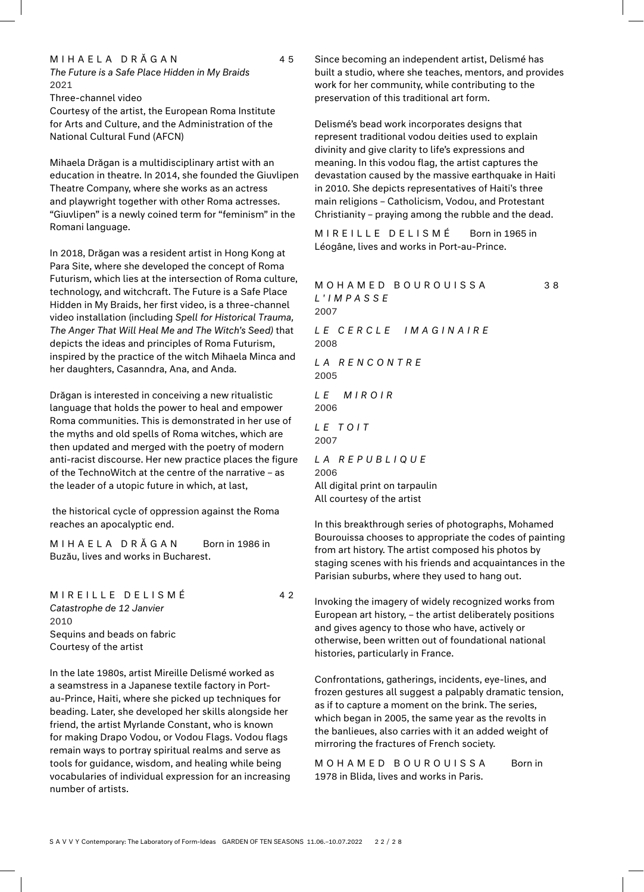#### MIHAELA DRĂGAN 45

*The Future is a Safe Place Hidden in My Braids* 2021

Three-channel video

Courtesy of the artist, the European Roma Institute for Arts and Culture, and the Administration of the National Cultural Fund (AFCN)

Mihaela Drăgan is a multidisciplinary artist with an education in theatre. In 2014, she founded the Giuvlipen Theatre Company, where she works as an actress and playwright together with other Roma actresses. "Giuvlipen" is a newly coined term for "feminism" in the Romani language.

In 2018, Drăgan was a resident artist in Hong Kong at Para Site, where she developed the concept of Roma Futurism, which lies at the intersection of Roma culture, technology, and witchcraft. The Future is a Safe Place Hidden in My Braids, her first video, is a three-channel video installation (including *Spell for Historical Trauma, The Anger That Will Heal Me and The Witch's Seed)* that depicts the ideas and principles of Roma Futurism, inspired by the practice of the witch Mihaela Minca and her daughters, Casanndra, Ana, and Anda.

Drăgan is interested in conceiving a new ritualistic language that holds the power to heal and empower Roma communities. This is demonstrated in her use of the myths and old spells of Roma witches, which are then updated and merged with the poetry of modern anti-racist discourse. Her new practice places the figure of the TechnoWitch at the centre of the narrative – as the leader of a utopic future in which, at last,

 the historical cycle of oppression against the Roma reaches an apocalyptic end.

M IHAELA DRĂGAN Born in 1986 in Buzău, lives and works in Bucharest.

MIREILLE DELISMÉ 42 *Catastrophe de 12 Janvier* 2010 Sequins and beads on fabric Courtesy of the artist

In the late 1980s, artist Mireille Delismé worked as a seamstress in a Japanese textile factory in Portau-Prince, Haiti, where she picked up techniques for beading. Later, she developed her skills alongside her friend, the artist Myrlande Constant, who is known for making Drapo Vodou, or Vodou Flags. Vodou flags remain ways to portray spiritual realms and serve as tools for guidance, wisdom, and healing while being vocabularies of individual expression for an increasing number of artists.

Since becoming an independent artist, Delismé has built a studio, where she teaches, mentors, and provides work for her community, while contributing to the preservation of this traditional art form.

Delismé's bead work incorporates designs that represent traditional vodou deities used to explain divinity and give clarity to life's expressions and meaning. In this vodou flag, the artist captures the devastation caused by the massive earthquake in Haiti in 2010. She depicts representatives of Haiti's three main religions – Catholicism, Vodou, and Protestant Christianity – praying among the rubble and the dead.

MIREILLE DELISMÉ Born in 1965 in Léogâne, lives and works in Port-au-Prince.

| MOHAMED BOUROUISSA<br>L'IMPASSE<br>2007                                                                                                                                                                                      | 38 |
|------------------------------------------------------------------------------------------------------------------------------------------------------------------------------------------------------------------------------|----|
| LE CERCLE IMAGINAIRE<br>2008                                                                                                                                                                                                 |    |
| LA RENCONTRE<br>2005                                                                                                                                                                                                         |    |
| LF MIROIR<br>2006                                                                                                                                                                                                            |    |
| LE TOIT<br>2007                                                                                                                                                                                                              |    |
| LA REPUBLIQUE<br>2006<br>All digital print on tarpaulin                                                                                                                                                                      |    |
| All courtesy of the artist<br>In this breakthrough series of photographs, Mohamed                                                                                                                                            |    |
| Bourouissa chooses to appropriate the codes of painting<br>from art history. The artist composed his photos by<br>staging scenes with his friends and acquaintances in the<br>Parisian suburbs, where they used to hang out. |    |

Invoking the imagery of widely recognized works from European art history, – the artist deliberately positions and gives agency to those who have, actively or otherwise, been written out of foundational national histories, particularly in France.

Confrontations, gatherings, incidents, eye-lines, and frozen gestures all suggest a palpably dramatic tension, as if to capture a moment on the brink. The series, which began in 2005, the same year as the revolts in the banlieues, also carries with it an added weight of mirroring the fractures of French society.

M OHAMED BOUROUISSA Born in 1978 in Blida, lives and works in Paris.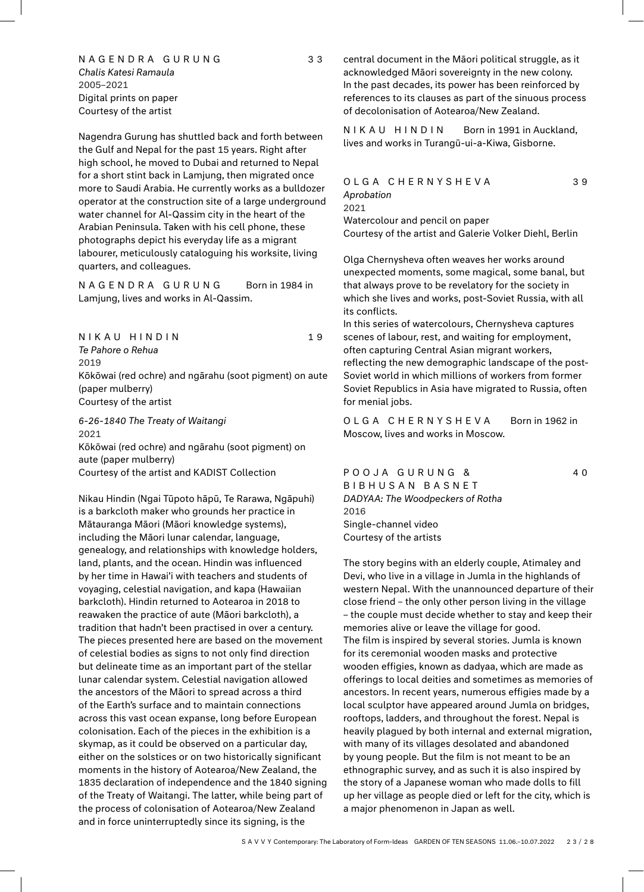NAGENDRA GURUNG 33 *Chalis Katesi Ramaula* 2005–2021 Digital prints on paper Courtesy of the artist

Nagendra Gurung has shuttled back and forth between the Gulf and Nepal for the past 15 years. Right after high school, he moved to Dubai and returned to Nepal for a short stint back in Lamjung, then migrated once more to Saudi Arabia. He currently works as a bulldozer operator at the construction site of a large underground water channel for Al-Qassim city in the heart of the Arabian Peninsula. Taken with his cell phone, these photographs depict his everyday life as a migrant labourer, meticulously cataloguing his worksite, living quarters, and colleagues.

N AGENDRA GURUNG Born in 1984 in Lamjung, lives and works in Al-Qassim.

NIKAU HINDIN 19 *Te Pahore o Rehua* 2019 Kōkōwai (red ochre) and ngārahu (soot pigment) on aute (paper mulberry) Courtesy of the artist

*6-26-1840 The Treaty of Waitangi* 2021 Kōkōwai (red ochre) and ngārahu (soot pigment) on aute (paper mulberry) Courtesy of the artist and KADIST Collection

Nikau Hindin (Ngai Tūpoto hāpū, Te Rarawa, Ngāpuhi) is a barkcloth maker who grounds her practice in Mātauranga Māori (Māori knowledge systems), including the Māori lunar calendar, language, genealogy, and relationships with knowledge holders, land, plants, and the ocean. Hindin was influenced by her time in Hawai'i with teachers and students of voyaging, celestial navigation, and kapa (Hawaiian barkcloth). Hindin returned to Aotearoa in 2018 to reawaken the practice of aute (Māori barkcloth), a tradition that hadn't been practised in over a century. The pieces presented here are based on the movement of celestial bodies as signs to not only find direction but delineate time as an important part of the stellar lunar calendar system. Celestial navigation allowed the ancestors of the Māori to spread across a third of the Earth's surface and to maintain connections across this vast ocean expanse, long before European colonisation. Each of the pieces in the exhibition is a skymap, as it could be observed on a particular day, either on the solstices or on two historically significant moments in the history of Aotearoa/New Zealand, the 1835 declaration of independence and the 1840 signing of the Treaty of Waitangi. The latter, while being part of the process of colonisation of Aotearoa/New Zealand and in force uninterruptedly since its signing, is the

central document in the Māori political struggle, as it acknowledged Māori sovereignty in the new colony. In the past decades, its power has been reinforced by references to its clauses as part of the sinuous process of decolonisation of Aotearoa/New Zealand.

N IKAU HINDIN Born in 1991 in Auckland, lives and works in Turangū-ui-a-Kiwa, Gisborne.

OLGA CHERNYSHEVA 39 *Aprobation* 2021 Watercolour and pencil on paper Courtesy of the artist and Galerie Volker Diehl, Berlin

Olga Chernysheva often weaves her works around unexpected moments, some magical, some banal, but that always prove to be revelatory for the society in which she lives and works, post-Soviet Russia, with all its conflicts.

In this series of watercolours, Chernysheva captures scenes of labour, rest, and waiting for employment, often capturing Central Asian migrant workers, reflecting the new demographic landscape of the post-Soviet world in which millions of workers from former Soviet Republics in Asia have migrated to Russia, often for menial jobs.

OLG A CHERNYSHEVA Born in 1962 in Moscow, lives and works in Moscow.

POOJA GURUNG & 40 BIBHUSAN BASNET *DADYAA: The Woodpeckers of Rotha* 2016 Single-channel video Courtesy of the artists

The story begins with an elderly couple, Atimaley and Devi, who live in a village in Jumla in the highlands of western Nepal. With the unannounced departure of their close friend – the only other person living in the village – the couple must decide whether to stay and keep their memories alive or leave the village for good. The film is inspired by several stories. Jumla is known for its ceremonial wooden masks and protective wooden effigies, known as dadyaa, which are made as offerings to local deities and sometimes as memories of ancestors. In recent years, numerous effigies made by a local sculptor have appeared around Jumla on bridges, rooftops, ladders, and throughout the forest. Nepal is heavily plagued by both internal and external migration, with many of its villages desolated and abandoned by young people. But the film is not meant to be an ethnographic survey, and as such it is also inspired by the story of a Japanese woman who made dolls to fill up her village as people died or left for the city, which is a major phenomenon in Japan as well.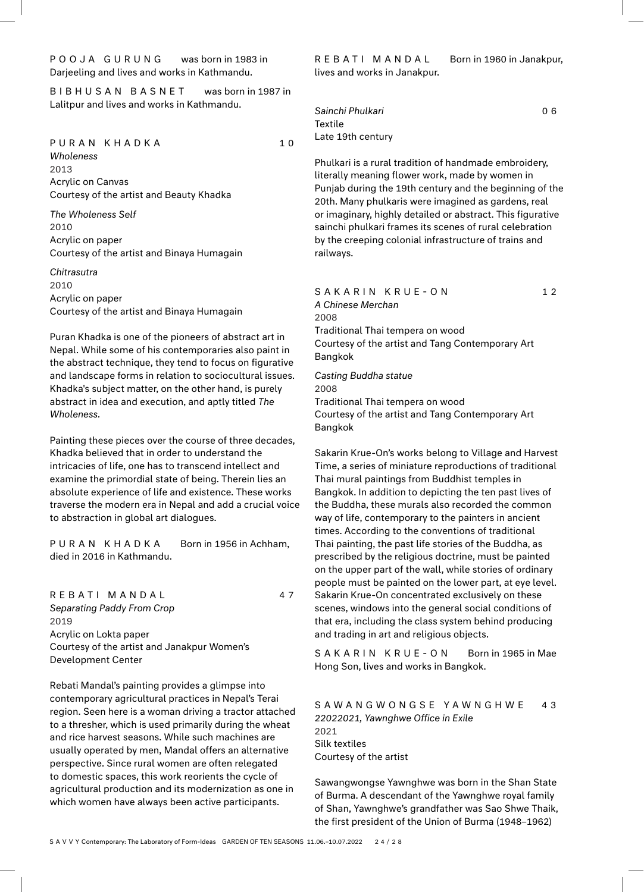P O OJA GURUNG was born in 1983 in Darjeeling and lives and works in Kathmandu.

BIBHUSAN BASNET was born in 1987 in Lalitpur and lives and works in Kathmandu.

PURAN KHADKA 10

*Wholeness* 2013 Acrylic on Canvas Courtesy of the artist and Beauty Khadka

*The Wholeness Self* 2010 Acrylic on paper Courtesy of the artist and Binaya Humagain

*Chitrasutra* 2010 Acrylic on paper Courtesy of the artist and Binaya Humagain

Puran Khadka is one of the pioneers of abstract art in Nepal. While some of his contemporaries also paint in the abstract technique, they tend to focus on figurative and landscape forms in relation to sociocultural issues. Khadka's subject matter, on the other hand, is purely abstract in idea and execution, and aptly titled *The Wholeness.*

Painting these pieces over the course of three decades, Khadka believed that in order to understand the intricacies of life, one has to transcend intellect and examine the primordial state of being. Therein lies an absolute experience of life and existence. These works traverse the modern era in Nepal and add a crucial voice to abstraction in global art dialogues.

PURAN KHADKA Born in 1956 in Achham, died in 2016 in Kathmandu.

REBATI MANDAL 47 *Separating Paddy From Crop*  2019 Acrylic on Lokta paper Courtesy of the artist and Janakpur Women's Development Center

Rebati Mandal's painting provides a glimpse into contemporary agricultural practices in Nepal's Terai region. Seen here is a woman driving a tractor attached to a thresher, which is used primarily during the wheat and rice harvest seasons. While such machines are usually operated by men, Mandal offers an alternative perspective. Since rural women are often relegated to domestic spaces, this work reorients the cycle of agricultural production and its modernization as one in which women have always been active participants.

R E BATI MANDAL Born in 1960 in Janakpur, lives and works in Janakpur.

*Sainchi Phulkari* 0 6 Textile Late 19th century

Phulkari is a rural tradition of handmade embroidery, literally meaning flower work, made by women in Punjab during the 19th century and the beginning of the 20th. Many phulkaris were imagined as gardens, real or imaginary, highly detailed or abstract. This figurative sainchi phulkari frames its scenes of rural celebration by the creeping colonial infrastructure of trains and railways.

## SAKARIN KRUE-ON 12 *A Chinese Merchan*  2008 Traditional Thai tempera on wood Courtesy of the artist and Tang Contemporary Art Bangkok *Casting Buddha statue* 2008

Traditional Thai tempera on wood Courtesy of the artist and Tang Contemporary Art Bangkok

Sakarin Krue-On's works belong to Village and Harvest Time, a series of miniature reproductions of traditional Thai mural paintings from Buddhist temples in Bangkok. In addition to depicting the ten past lives of the Buddha, these murals also recorded the common way of life, contemporary to the painters in ancient times. According to the conventions of traditional Thai painting, the past life stories of the Buddha, as prescribed by the religious doctrine, must be painted on the upper part of the wall, while stories of ordinary people must be painted on the lower part, at eye level. Sakarin Krue-On concentrated exclusively on these scenes, windows into the general social conditions of that era, including the class system behind producing and trading in art and religious objects.

S AKARIN KRUE-ON Born in 1965 in Mae Hong Son, lives and works in Bangkok.

SAWANGWONGSE YAWNGHWE 43 *22022021, Yawnghwe Office in Exile* 2021 Silk textiles Courtesy of the artist

Sawangwongse Yawnghwe was born in the Shan State of Burma. A descendant of the Yawnghwe royal family of Shan, Yawnghwe's grandfather was Sao Shwe Thaik, the first president of the Union of Burma (1948–1962)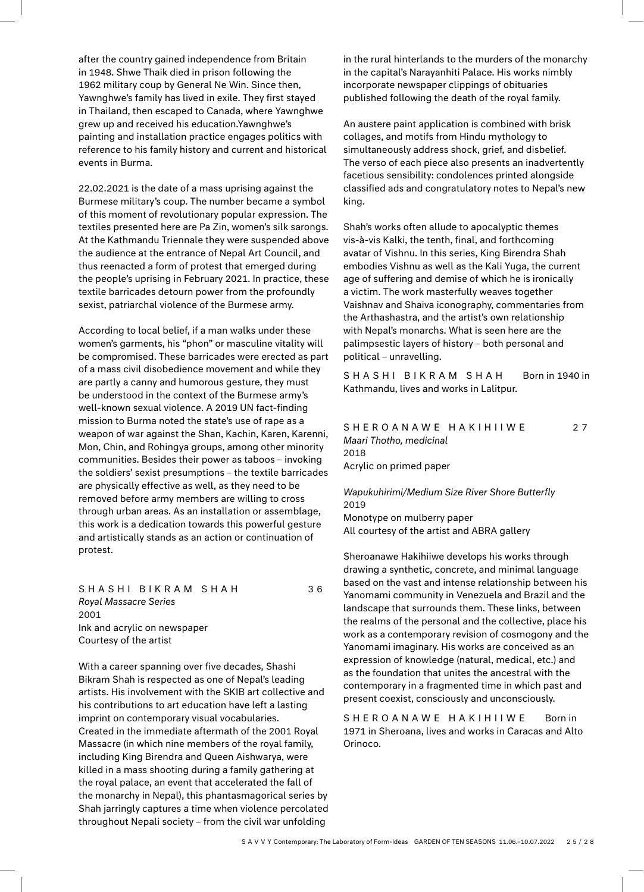after the country gained independence from Britain in 1948. Shwe Thaik died in prison following the 1962 military coup by General Ne Win. Since then, Yawnghwe's family has lived in exile. They first stayed in Thailand, then escaped to Canada, where Yawnghwe grew up and received his education.Yawnghwe's painting and installation practice engages politics with reference to his family history and current and historical events in Burma.

22.02.2021 is the date of a mass uprising against the Burmese military's coup. The number became a symbol of this moment of revolutionary popular expression. The textiles presented here are Pa Zin, women's silk sarongs. At the Kathmandu Triennale they were suspended above the audience at the entrance of Nepal Art Council, and thus reenacted a form of protest that emerged during the people's uprising in February 2021. In practice, these textile barricades detourn power from the profoundly sexist, patriarchal violence of the Burmese army.

According to local belief, if a man walks under these women's garments, his "phon" or masculine vitality will be compromised. These barricades were erected as part of a mass civil disobedience movement and while they are partly a canny and humorous gesture, they must be understood in the context of the Burmese army's well-known sexual violence. A 2019 UN fact-finding mission to Burma noted the state's use of rape as a weapon of war against the Shan, Kachin, Karen, Karenni, Mon, Chin, and Rohingya groups, among other minority communities. Besides their power as taboos – invoking the soldiers' sexist presumptions – the textile barricades are physically effective as well, as they need to be removed before army members are willing to cross through urban areas. As an installation or assemblage, this work is a dedication towards this powerful gesture and artistically stands as an action or continuation of protest.

SHASHI BIKRAM SHAH 36 *Royal Massacre Series* 2001 Ink and acrylic on newspaper Courtesy of the artist

With a career spanning over five decades, Shashi Bikram Shah is respected as one of Nepal's leading artists. His involvement with the SKIB art collective and his contributions to art education have left a lasting imprint on contemporary visual vocabularies. Created in the immediate aftermath of the 2001 Royal Massacre (in which nine members of the royal family, including King Birendra and Queen Aishwarya, were killed in a mass shooting during a family gathering at the royal palace, an event that accelerated the fall of the monarchy in Nepal), this phantasmagorical series by Shah jarringly captures a time when violence percolated throughout Nepali society – from the civil war unfolding

in the rural hinterlands to the murders of the monarchy in the capital's Narayanhiti Palace. His works nimbly incorporate newspaper clippings of obituaries published following the death of the royal family.

An austere paint application is combined with brisk collages, and motifs from Hindu mythology to simultaneously address shock, grief, and disbelief. The verso of each piece also presents an inadvertently facetious sensibility: condolences printed alongside classified ads and congratulatory notes to Nepal's new king.

Shah's works often allude to apocalyptic themes vis-à-vis Kalki, the tenth, final, and forthcoming avatar of Vishnu. In this series, King Birendra Shah embodies Vishnu as well as the Kali Yuga, the current age of suffering and demise of which he is ironically a victim. The work masterfully weaves together Vaishnav and Shaiva iconography, commentaries from the Arthashastra, and the artist's own relationship with Nepal's monarchs. What is seen here are the palimpsestic layers of history – both personal and political – unravelling.

S HASHI BIKRAM SHAH Born in 1940 in Kathmandu, lives and works in Lalitpur.

SHEROANAWE HAKIHIIWE 27 *Maari Thotho, medicinal* 2018 Acrylic on primed paper

*Wapukuhirimi/Medium Size River Shore Butterfly* 2019 Monotype on mulberry paper All courtesy of the artist and ABRA gallery

Sheroanawe Hakihiiwe develops his works through drawing a synthetic, concrete, and minimal language based on the vast and intense relationship between his Yanomami community in Venezuela and Brazil and the landscape that surrounds them. These links, between the realms of the personal and the collective, place his work as a contemporary revision of cosmogony and the Yanomami imaginary. His works are conceived as an expression of knowledge (natural, medical, etc.) and as the foundation that unites the ancestral with the contemporary in a fragmented time in which past and present coexist, consciously and unconsciously.

S HEROANAWE HAKIHIIWE Born in 1971 in Sheroana, lives and works in Caracas and Alto Orinoco.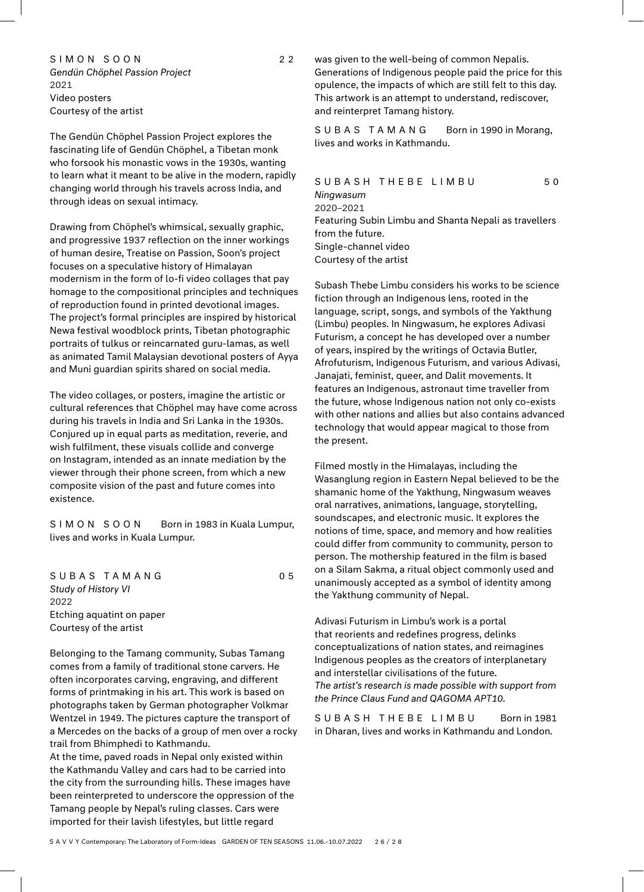SIMON SOON 22 *Gendün Chöphel Passion Project* 2021 Video posters Courtesy of the artist

The Gendün Chöphel Passion Project explores the fascinating life of Gendün Chöphel, a Tibetan monk who forsook his monastic vows in the 1930s, wanting to learn what it meant to be alive in the modern, rapidly changing world through his travels across India, and through ideas on sexual intimacy.

Drawing from Chöphel's whimsical, sexually graphic, and progressive 1937 reflection on the inner workings of human desire, Treatise on Passion, Soon's project focuses on a speculative history of Himalayan modernism in the form of lo-fi video collages that pay homage to the compositional principles and techniques of reproduction found in printed devotional images. The project's formal principles are inspired by historical Newa festival woodblock prints, Tibetan photographic portraits of tulkus or reincarnated guru-lamas, as well as animated Tamil Malaysian devotional posters of Ayya and Muni guardian spirits shared on social media.

The video collages, or posters, imagine the artistic or cultural references that Chöphel may have come across during his travels in India and Sri Lanka in the 1930s. Conjured up in equal parts as meditation, reverie, and wish fulfilment, these visuals collide and converge on Instagram, intended as an innate mediation by the viewer through their phone screen, from which a new composite vision of the past and future comes into existence.

SIMON SOON Born in 1983 in Kuala Lumpur, lives and works in Kuala Lumpur.

SUBAS TAMANG 05 *Study of History VI* 2022 Etching aquatint on paper Courtesy of the artist

Belonging to the Tamang community, Subas Tamang comes from a family of traditional stone carvers. He often incorporates carving, engraving, and different forms of printmaking in his art. This work is based on photographs taken by German photographer Volkmar Wentzel in 1949. The pictures capture the transport of a Mercedes on the backs of a group of men over a rocky trail from Bhimphedi to Kathmandu.

At the time, paved roads in Nepal only existed within the Kathmandu Valley and cars had to be carried into the city from the surrounding hills. These images have been reinterpreted to underscore the oppression of the Tamang people by Nepal's ruling classes. Cars were imported for their lavish lifestyles, but little regard

was given to the well-being of common Nepalis. Generations of Indigenous people paid the price for this opulence, the impacts of which are still felt to this day. This artwork is an attempt to understand, rediscover, and reinterpret Tamang history.

SUBAS TAMANG Born in 1990 in Morang, lives and works in Kathmandu.

SUBASH THEBE LIMBU 50 *Ningwasum* 2020–2021 Featuring Subin Limbu and Shanta Nepali as travellers from the future. Single-channel video Courtesy of the artist

Subash Thebe Limbu considers his works to be science fiction through an Indigenous lens, rooted in the language, script, songs, and symbols of the Yakthung (Limbu) peoples. In Ningwasum, he explores Adivasi Futurism, a concept he has developed over a number of years, inspired by the writings of Octavia Butler, Afrofuturism, Indigenous Futurism, and various Adivasi, Janajati, feminist, queer, and Dalit movements. It features an Indigenous, astronaut time traveller from the future, whose Indigenous nation not only co-exists with other nations and allies but also contains advanced technology that would appear magical to those from the present.

Filmed mostly in the Himalayas, including the Wasanglung region in Eastern Nepal believed to be the shamanic home of the Yakthung, Ningwasum weaves oral narratives, animations, language, storytelling, soundscapes, and electronic music. It explores the notions of time, space, and memory and how realities could differ from community to community, person to person. The mothership featured in the film is based on a Silam Sakma, a ritual object commonly used and unanimously accepted as a symbol of identity among the Yakthung community of Nepal.

Adivasi Futurism in Limbu's work is a portal that reorients and redefines progress, delinks conceptualizations of nation states, and reimagines Indigenous peoples as the creators of interplanetary and interstellar civilisations of the future. *The artist's research is made possible with support from the Prince Claus Fund and QAGOMA APT10.*

S UBASH THEBE LIMBU Born in 1981 in Dharan, lives and works in Kathmandu and London.

S A V V Y Contemporary: The Laboratory of Form-Ideas GARDEN OF TEN SEASONS 11.06.-10.07.2022 26 / 28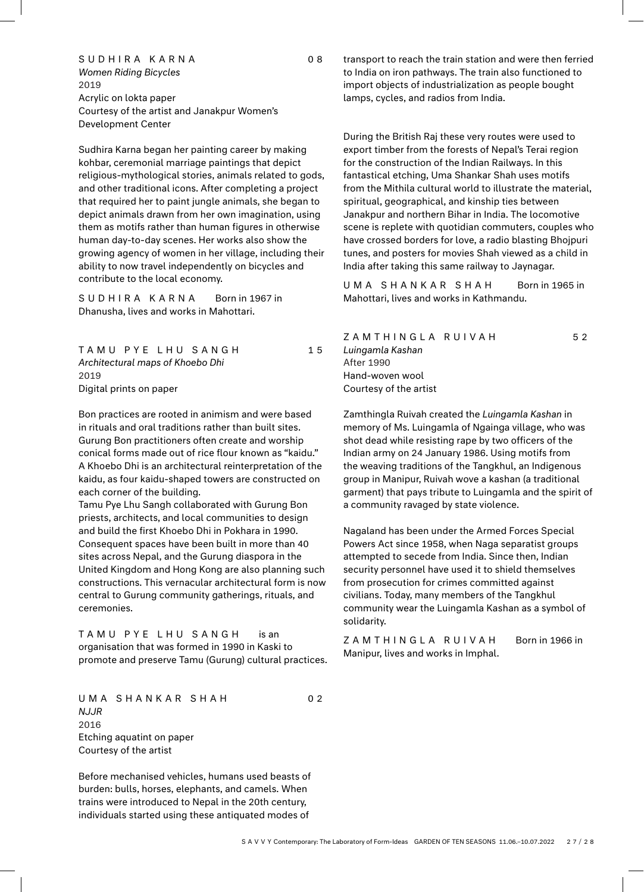SUDHIRA KARNA 08 *Women Riding Bicycles* 2019 Acrylic on lokta paper Courtesy of the artist and Janakpur Women's Development Center

Sudhira Karna began her painting career by making kohbar, ceremonial marriage paintings that depict religious-mythological stories, animals related to gods, and other traditional icons. After completing a project that required her to paint jungle animals, she began to depict animals drawn from her own imagination, using them as motifs rather than human figures in otherwise human day-to-day scenes. Her works also show the growing agency of women in her village, including their ability to now travel independently on bicycles and contribute to the local economy.

S UDHIRA KARNA Born in 1967 in Dhanusha, lives and works in Mahottari.

TAMU PYE LHU SANGH 15 *Architectural maps of Khoebo Dhi* 2019 Digital prints on paper

Bon practices are rooted in animism and were based in rituals and oral traditions rather than built sites. Gurung Bon practitioners often create and worship conical forms made out of rice flour known as "kaidu." A Khoebo Dhi is an architectural reinterpretation of the kaidu, as four kaidu-shaped towers are constructed on each corner of the building.

Tamu Pye Lhu Sangh collaborated with Gurung Bon priests, architects, and local communities to design and build the first Khoebo Dhi in Pokhara in 1990. Consequent spaces have been built in more than 40 sites across Nepal, and the Gurung diaspora in the United Kingdom and Hong Kong are also planning such constructions. This vernacular architectural form is now central to Gurung community gatherings, rituals, and ceremonies.

TAMU PYE LHU SANGH is an organisation that was formed in 1990 in Kaski to promote and preserve Tamu (Gurung) cultural practices.

UMA SHANKAR SHAH 02 *NJJR* 2016 Etching aquatint on paper Courtesy of the artist

Before mechanised vehicles, humans used beasts of burden: bulls, horses, elephants, and camels. When trains were introduced to Nepal in the 20th century, individuals started using these antiquated modes of

transport to reach the train station and were then ferried to India on iron pathways. The train also functioned to import objects of industrialization as people bought lamps, cycles, and radios from India.

During the British Raj these very routes were used to export timber from the forests of Nepal's Terai region for the construction of the Indian Railways. In this fantastical etching, Uma Shankar Shah uses motifs from the Mithila cultural world to illustrate the material, spiritual, geographical, and kinship ties between Janakpur and northern Bihar in India. The locomotive scene is replete with quotidian commuters, couples who have crossed borders for love, a radio blasting Bhojpuri tunes, and posters for movies Shah viewed as a child in India after taking this same railway to Jaynagar.

U MA SHANKAR SHAH Born in 1965 in Mahottari, lives and works in Kathmandu.

| ZAMTHINGLA RUIVAH      | 52 |
|------------------------|----|
| Luingamla Kashan       |    |
| After 1990             |    |
| Hand-woven wool        |    |
| Courtesy of the artist |    |

Zamthingla Ruivah created the *Luingamla Kashan* in memory of Ms. Luingamla of Ngainga village, who was shot dead while resisting rape by two officers of the Indian army on 24 January 1986. Using motifs from the weaving traditions of the Tangkhul, an Indigenous group in Manipur, Ruivah wove a kashan (a traditional garment) that pays tribute to Luingamla and the spirit of a community ravaged by state violence.

Nagaland has been under the Armed Forces Special Powers Act since 1958, when Naga separatist groups attempted to secede from India. Since then, Indian security personnel have used it to shield themselves from prosecution for crimes committed against civilians. Today, many members of the Tangkhul community wear the Luingamla Kashan as a symbol of solidarity.

Z AMTHINGLA RUIVAH Born in 1966 in Manipur, lives and works in Imphal.